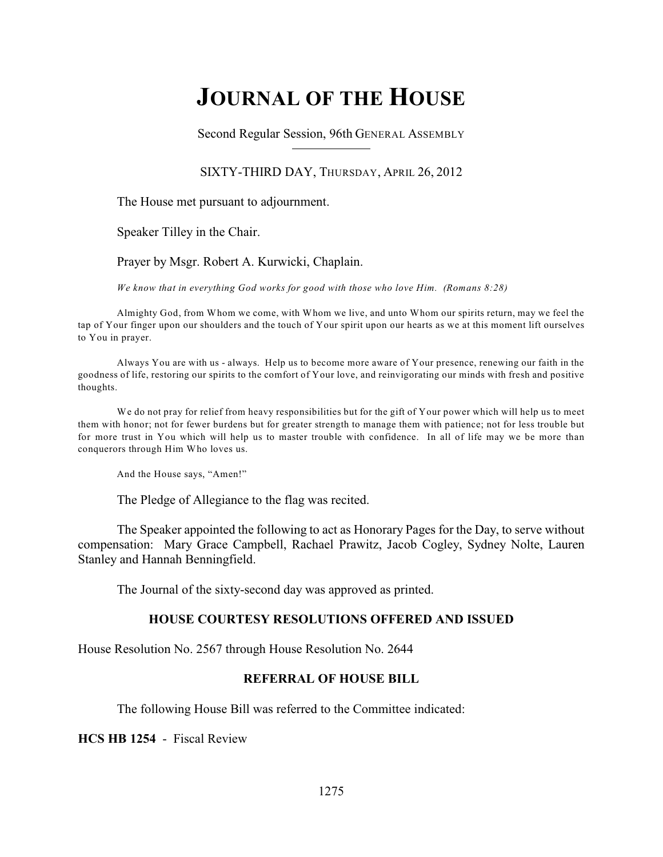# **JOURNAL OF THE HOUSE**

Second Regular Session, 96th GENERAL ASSEMBLY

### SIXTY-THIRD DAY, THURSDAY, APRIL 26, 2012

The House met pursuant to adjournment.

Speaker Tilley in the Chair.

Prayer by Msgr. Robert A. Kurwicki, Chaplain.

*We know that in everything God works for good with those who love Him. (Romans 8:28)*

Almighty God, from Whom we come, with Whom we live, and unto Whom our spirits return, may we feel the tap of Your finger upon our shoulders and the touch of Your spirit upon our hearts as we at this moment lift ourselves to You in prayer.

Always You are with us - always. Help us to become more aware of Your presence, renewing our faith in the goodness of life, restoring our spirits to the comfort of Your love, and reinvigorating our minds with fresh and positive thoughts.

We do not pray for relief from heavy responsibilities but for the gift of Your power which will help us to meet them with honor; not for fewer burdens but for greater strength to manage them with patience; not for less trouble but for more trust in You which will help us to master trouble with confidence. In all of life may we be more than conquerors through Him Who loves us.

And the House says, "Amen!"

The Pledge of Allegiance to the flag was recited.

The Speaker appointed the following to act as Honorary Pages for the Day, to serve without compensation: Mary Grace Campbell, Rachael Prawitz, Jacob Cogley, Sydney Nolte, Lauren Stanley and Hannah Benningfield.

The Journal of the sixty-second day was approved as printed.

### **HOUSE COURTESY RESOLUTIONS OFFERED AND ISSUED**

House Resolution No. 2567 through House Resolution No. 2644

# **REFERRAL OF HOUSE BILL**

The following House Bill was referred to the Committee indicated:

**HCS HB 1254** - Fiscal Review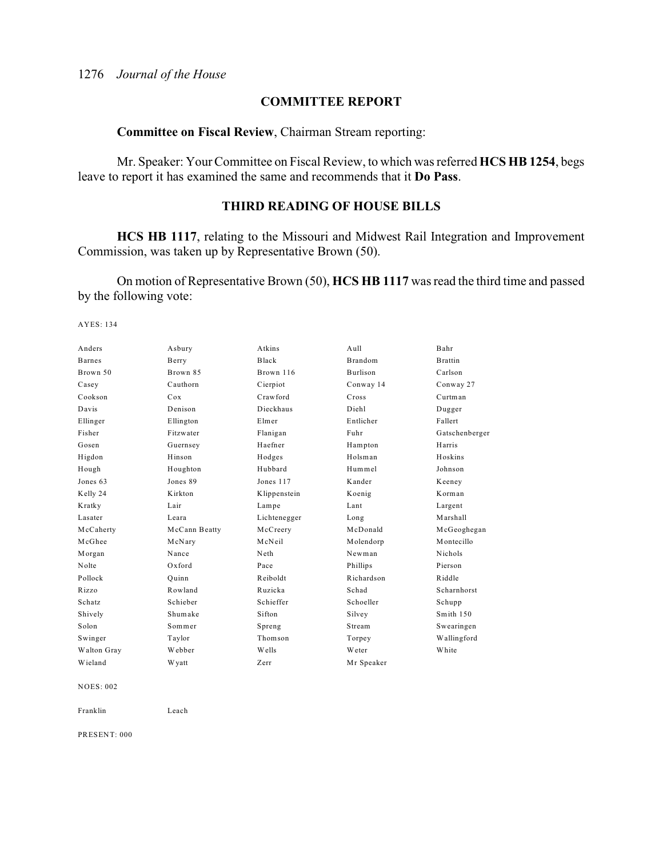# **COMMITTEE REPORT**

**Committee on Fiscal Review**, Chairman Stream reporting:

Mr. Speaker: Your Committee on Fiscal Review, to which was referred **HCS HB 1254**, begs leave to report it has examined the same and recommends that it **Do Pass**.

### **THIRD READING OF HOUSE BILLS**

**HCS HB 1117**, relating to the Missouri and Midwest Rail Integration and Improvement Commission, was taken up by Representative Brown (50).

On motion of Representative Brown (50), **HCS HB 1117** was read the third time and passed by the following vote:

AYES: 134

| Anders           | Asbury        | Atkins       | Aull           | Bahr           |
|------------------|---------------|--------------|----------------|----------------|
| <b>Barnes</b>    | Berry         | Black        | <b>Brandom</b> | <b>Brattin</b> |
| Brown 50         | Brown 85      | Brown 116    | Burlison       | Carlson        |
| Casey            | Cauthorn      | Cierpiot     | Conway 14      | Conway 27      |
| Cookson          | Cox           | Crawford     | Cross          | Curtman        |
| Davis            | Denison       | Dieckhaus    | Diehl          | Dugger         |
| Ellinger         | Ellington     | Elmer        | Entlicher      | Fallert        |
| Fisher           | Fitzwater     | Flanigan     | Fuhr           | Gatschenberger |
| Gosen            | Guernsey      | Haefner      | Hampton        | Harris         |
| Higdon           | Hinson        | Hodges       | Holsman        | Hoskins        |
| Hough            | Houghton      | Hubbard      | Hummel         | Johnson        |
| Jones 63         | Jones 89      | Jones 117    | Kander         | Keeney         |
| Kelly 24         | Kirkton       | Klippenstein | Koenig         | Korman         |
| Kratky           | Lair          | Lampe        | Lant           | Largent        |
| Lasater          | Leara         | Lichtenegger | Long           | Marshall       |
| McCaherty        | McCann Beatty | McCreery     | McDonald       | McGeoghegan    |
| McGhee           | McNary        | McNeil       | Molendorp      | Montecillo     |
| Morgan           | Nance         | Neth         | Newman         | Nichols        |
| Nolte            | Oxford        | Pace         | Phillips       | Pierson        |
| Pollock          | Ouinn         | Reiboldt     | Richardson     | Riddle         |
| Rizzo            | Rowland       | Ruzicka      | Schad          | Scharnhorst    |
| Schatz           | Schieber      | Schieffer    | Schoeller      | Schupp         |
| Shively          | Shumake       | Sifton       | Silvey         | Smith 150      |
| Solon            | Sommer        | Spreng       | Stream         | Swearingen     |
| Swinger          | Taylor        | Thomson      | Torpey         | Wallingford    |
| Walton Gray      | Webber        | W ells       | Weter          | White          |
| Wieland          | <b>Wyatt</b>  | Zerr         | Mr Speaker     |                |
| <b>NOES: 002</b> |               |              |                |                |
| Franklin         | Leach         |              |                |                |

PRESENT: 000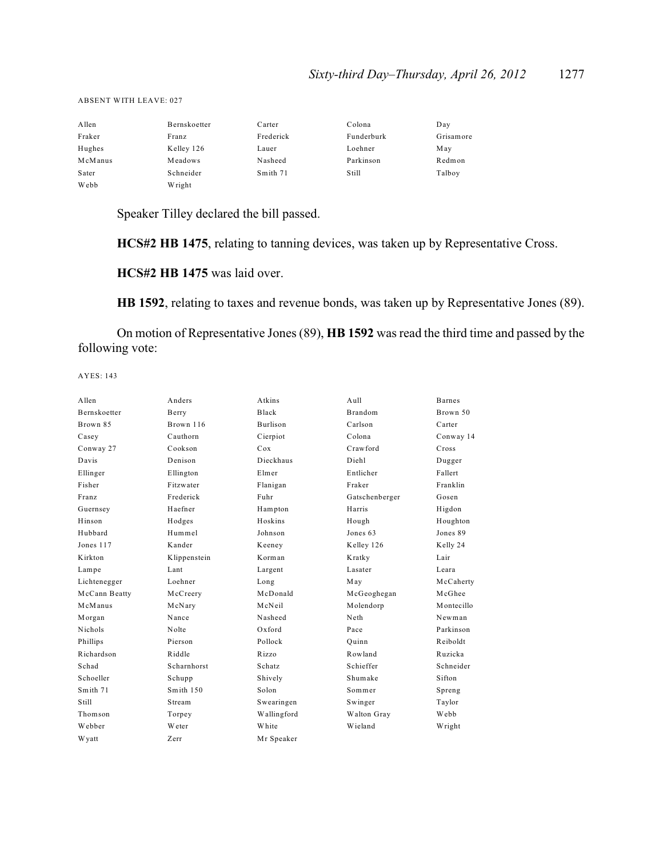#### ABSENT WITH LEAVE: 027

| Allen   | Bernskoetter | Carter    | Colona     | Day       |
|---------|--------------|-----------|------------|-----------|
| Fraker  | Franz        | Frederick | Funderburk | Grisamore |
| Hughes  | Kelley 126   | Lauer     | Loehner    | May       |
| McManus | Meadows      | Nasheed   | Parkinson  | Redmon    |
| Sater   | Schneider    | Smith 71  | Still      | Talboy    |
| Webb    | Wright       |           |            |           |

Speaker Tilley declared the bill passed.

**HCS#2 HB 1475**, relating to tanning devices, was taken up by Representative Cross.

**HCS#2 HB 1475** was laid over.

**HB 1592**, relating to taxes and revenue bonds, was taken up by Representative Jones (89).

On motion of Representative Jones (89), **HB 1592** was read the third time and passed by the following vote:

| A llen        | Anders       | Atkins      | A <sub>u</sub> 11 | <b>Barnes</b> |
|---------------|--------------|-------------|-------------------|---------------|
| Bernskoetter  | Berry        | Black       | <b>Brandom</b>    | Brown 50      |
| Brown 85      | Brown 116    | Burlison    | Carlson           | Carter        |
| Casey         | Cauthorn     | Cierpiot    | Colona            | Conway 14     |
| Conway 27     | Cookson      | Cox         | Crawford          | Cross         |
| Davis         | Denison      | Dieckhaus   | Diehl             | Dugger        |
| Ellinger      | Ellington    | Elmer       | Entlicher         | Fallert       |
| Fisher        | Fitzwater    | Flanigan    | Fraker            | Franklin      |
| Franz         | Frederick    | Fuhr        | Gatschenberger    | Gosen         |
| Guernsey      | Haefner      | Hampton     | Harris            | Higdon        |
| Hinson        | Hodges       | Hoskins     | Hough             | Houghton      |
| Hubbard       | Hummel       | Johnson     | Jones 63          | Jones 89      |
| Jones 117     | Kander       | Keeney      | Kelley 126        | Kelly 24      |
| Kirkton       | Klippenstein | Korman      | Kratky            | Lair          |
| Lampe         | Lant         | Largent     | Lasater           | Leara         |
| Lichtenegger  | Loehner      | Long        | May               | McCaherty     |
| McCann Beatty | McCreery     | McDonald    | McGeoghegan       | McGhee        |
| McManus       | McNary       | McNeil      | Molendorp         | Montecillo    |
| Morgan        | Nance        | Nasheed     | Neth              | Newman        |
| Nichols       | Nolte        | Oxford      | Pace              | Parkinson     |
| Phillips      | Pierson      | Pollock     | Ouinn             | Reiboldt      |
| Richardson    | Riddle       | Rizzo       | Rowland           | Ruzicka       |
| Schad         | Scharnhorst  | Schatz      | Schieffer         | Schneider     |
| Schoeller     | Schupp       | Shively     | Shumake           | Sifton        |
| Smith 71      | Smith 150    | Solon       | Sommer            | Spreng        |
| Still         | Stream       | Swearingen  | Swinger           | Taylor        |
| Thomson       | Torpey       | Wallingford | Walton Gray       | Webb          |
| Webber        | Weter        | White       | Wieland           | Wright        |
| Wyatt         | Zerr         | Mr Speaker  |                   |               |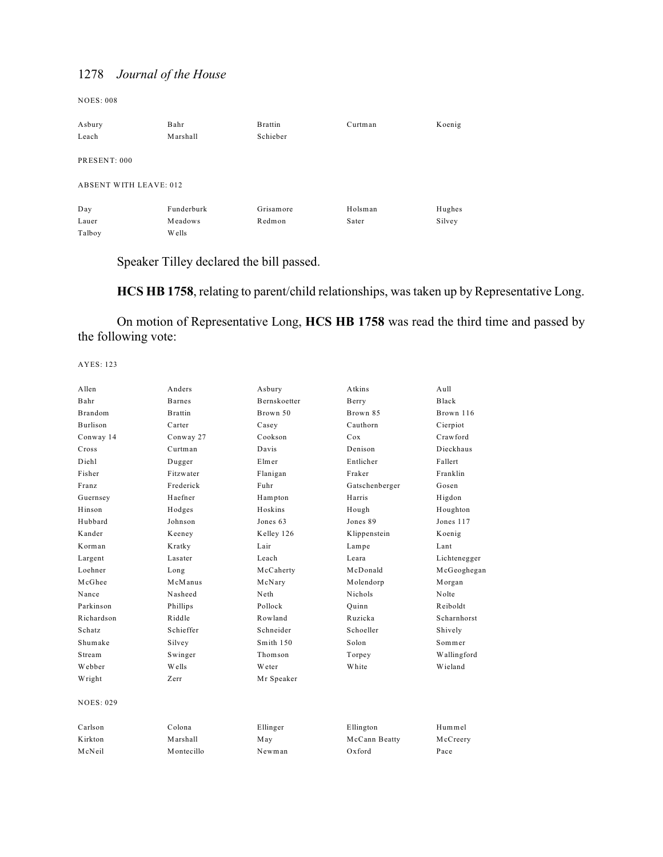NOES: 008

| Asbury                        | Bahr       | <b>B</b> rattin | Curtman | Koenig |
|-------------------------------|------------|-----------------|---------|--------|
| Leach                         | Marshall   | Schieber        |         |        |
| PRESENT: 000                  |            |                 |         |        |
| <b>ABSENT WITH LEAVE: 012</b> |            |                 |         |        |
| Day                           | Funderburk | Grisamore       | Holsman | Hughes |
| Lauer                         | Meadows    | Redmon          | Sater   | Silvey |
| Talboy                        | Wells      |                 |         |        |

Speaker Tilley declared the bill passed.

**HCS HB 1758**, relating to parent/child relationships, was taken up by Representative Long.

On motion of Representative Long, **HCS HB 1758** was read the third time and passed by the following vote:

| Allen            | Anders         | Asbury              | Atkins         | Aull         |
|------------------|----------------|---------------------|----------------|--------------|
| Bahr             | <b>Barnes</b>  | <b>Bernskoetter</b> | Berry          | Black        |
| <b>Brandom</b>   | <b>Brattin</b> | Brown 50            | Brown 85       | Brown 116    |
| <b>Burlison</b>  | Carter         | Casey               | Cauthorn       | Cierpiot     |
| Conway 14        | Conway 27      | Cookson             | Cox            | Crawford     |
| Cross            | Curtman        | Davis               | Denison        | Dieckhaus    |
| Diehl            | Dugger         | Elmer               | Entlicher      | Fallert      |
| Fisher           | Fitzwater      | Flanigan            | Fraker         | Franklin     |
| Franz            | Frederick      | Fuhr                | Gatschenberger | Gosen        |
| Guernsey         | Haefner        | Hampton             | Harris         | Higdon       |
| Hinson           | Hodges         | Hoskins             | Hough          | Houghton     |
| Hubbard          | Johnson        | Jones 63            | Jones 89       | Jones 117    |
| Kander           | Keeney         | Kelley 126          | Klippenstein   | Koenig       |
| Korman           | Kratky         | Lair                | Lampe          | Lant         |
| Largent          | Lasater        | Leach               | Leara          | Lichtenegger |
| Loehner          | Long           | McCaherty           | McDonald       | McGeoghegan  |
| McGhee           | McManus        | McNary              | Molendorp      | Morgan       |
| Nance            | Nasheed        | Neth                | <b>Nichols</b> | Nolte        |
| Parkinson        | Phillips       | Pollock             | Quinn          | Reiboldt     |
| Richardson       | Riddle         | Rowland             | Ruzicka        | Scharnhorst  |
| Schatz           | Schieffer      | Schneider           | Schoeller      | Shively      |
| Shumake          | Silvey         | Smith 150           | Solon          | Sommer       |
| Stream           | Swinger        | Thomson             | Torpey         | Wallingford  |
| Webber           | Wells          | Weter               | White          | Wieland      |
| Wright           | Zerr           | Mr Speaker          |                |              |
| <b>NOES: 029</b> |                |                     |                |              |
| Carlson          | Colona         | Ellinger            | Ellington      | Hummel       |
| Kirkton          | Marshall       | May                 | McCann Beatty  | McCreery     |
| McNeil           | Montecillo     | Newman              | $Ox$ ford      | Pace         |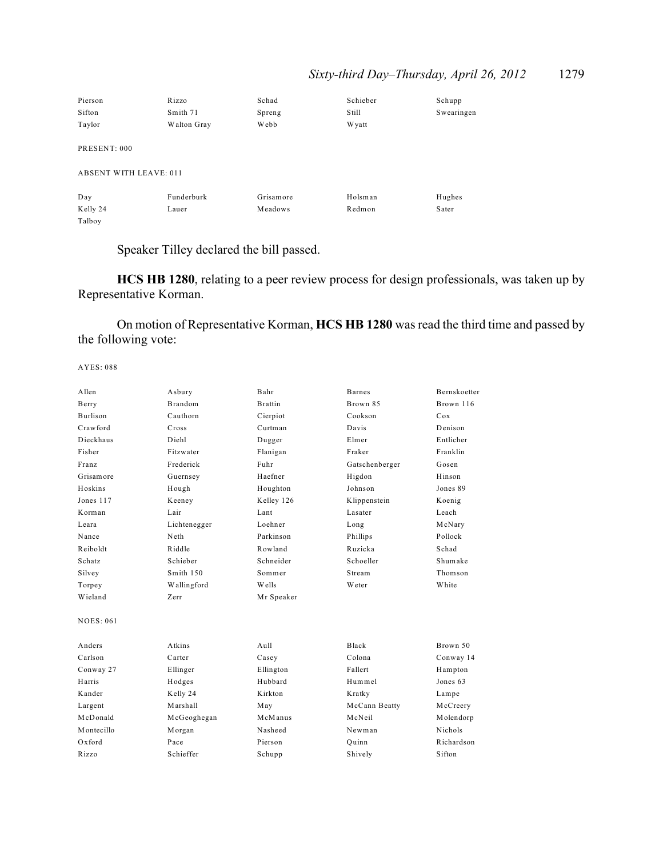# *Sixty-third Day–Thursday, April 26, 2012* 1279

| Pierson                       | Rizzo       | Schad     | Schieber | Schupp     |
|-------------------------------|-------------|-----------|----------|------------|
| Sifton                        | Smith 71    | Spreng    | Still    | Swearingen |
| Taylor                        | Walton Gray | Webb      | W yatt   |            |
| PRESENT: 000                  |             |           |          |            |
| <b>ABSENT WITH LEAVE: 011</b> |             |           |          |            |
|                               |             |           |          |            |
| Day                           | Funderburk  | Grisamore | Holsman  | Hughes     |
| Kelly 24                      | Lauer       | Meadows   | Redmon   | Sater      |
| Talboy                        |             |           |          |            |

Speaker Tilley declared the bill passed.

**HCS HB 1280**, relating to a peer review process for design professionals, was taken up by Representative Korman.

On motion of Representative Korman, **HCS HB 1280** was read the third time and passed by the following vote:

| Allen            | Asbury       | Bahr           | <b>Barnes</b>  | Bernskoetter |
|------------------|--------------|----------------|----------------|--------------|
| Berry            | Brandom      | <b>Brattin</b> | Brown 85       | Brown 116    |
| Burlison         | Cauthorn     | Cierpiot       | Cookson        | Cox          |
| Crawford         | Cross        | Curtman        | Davis          | Denison      |
| Dieckhaus        | Diehl        | Dugger         | Elmer          | Entlicher    |
| Fisher           | Fitzwater    | Flanigan       | Fraker         | Franklin     |
| Franz            | Frederick    | Fuhr           | Gatschenberger | Gosen        |
| Grisamore        | Guernsey     | Haefner        | Higdon         | Hinson       |
| Hoskins          | Hough        | Houghton       | Johnson        | Jones 89     |
| Jones 117        | Keeney       | Kelley 126     | Klippenstein   | Koenig       |
| Korman           | Lair         | Lant           | Lasater        | Leach        |
| Leara            | Lichtenegger | Loehner        | Long           | McNary       |
| Nance            | Neth         | Parkinson      | Phillips       | Pollock      |
| Reiboldt         | Riddle       | Rowland        | Ruzicka        | Schad        |
| Schatz           | Schieber     | Schneider      | Schoeller      | Shumake      |
| Silvey           | Smith 150    | Sommer         | Stream         | Thomson      |
| Torpey           | Wallingford  | Wells          | Weter          | White        |
| Wieland          | Zerr         | Mr Speaker     |                |              |
| <b>NOES: 061</b> |              |                |                |              |
| Anders           | Atkins       | $A$ ull        | Black          | Brown 50     |
| Carlson          | Carter       | Casey          | Colona         | Conway 14    |
| Conway 27        | Ellinger     | Ellington      | Fallert        | Hampton      |
| Harris           | Hodges       | Hubbard        | Hummel         | Jones 63     |
| Kander           | Kelly 24     | Kirkton        | Kratky         | Lampe        |
| Largent          | Marshall     | May            | McCann Beatty  | McCreery     |
| McDonald         | McGeoghegan  | McManus        | McNeil         | Molendorp    |
| Montecillo       | Morgan       | Nasheed        | Newman         | Nichols      |
| Oxford           | Pace         | Pierson        | Quinn          | Richardson   |
| Rizzo            | Schieffer    | Schupp         | Shively        | Sifton       |
|                  |              |                |                |              |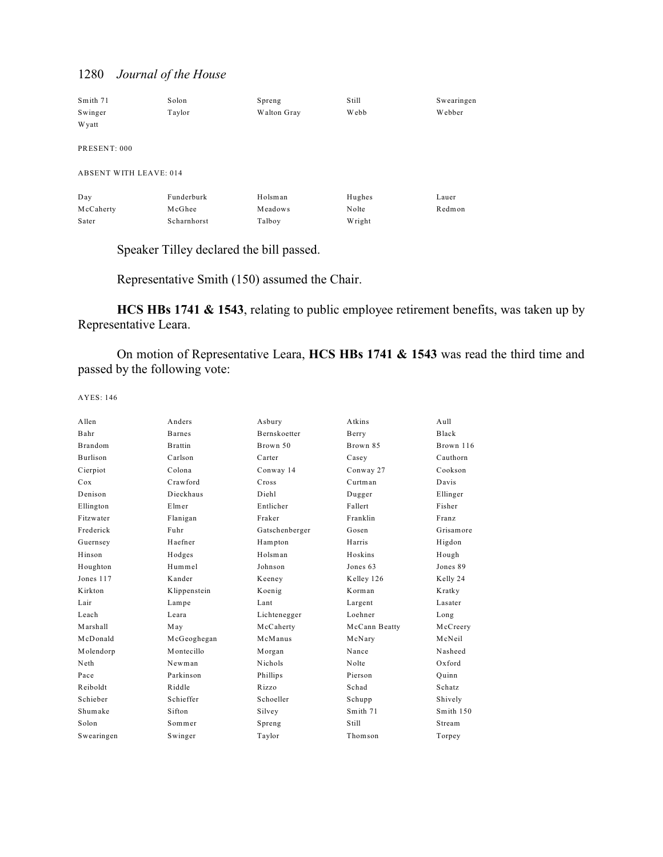| Smith 71                      | Solon       | Spreng      | Still  | Swearingen |
|-------------------------------|-------------|-------------|--------|------------|
| Swinger                       | Taylor      | Walton Gray | Webb   | Webber     |
| <b>Wyatt</b>                  |             |             |        |            |
|                               |             |             |        |            |
| PRESENT: 000                  |             |             |        |            |
|                               |             |             |        |            |
| <b>ABSENT WITH LEAVE: 014</b> |             |             |        |            |
| Day                           | Funderburk  | Holsman     | Hughes | Lauer      |
| McCaherty                     | McGhee      | Meadows     | Nolte  | Redmon     |
|                               |             |             |        |            |
| Sater                         | Scharnhorst | Talboy      | Wright |            |

Speaker Tilley declared the bill passed.

Representative Smith (150) assumed the Chair.

**HCS HBs 1741 & 1543**, relating to public employee retirement benefits, was taken up by Representative Leara.

On motion of Representative Leara, **HCS HBs 1741 & 1543** was read the third time and passed by the following vote:

| A llen         | Anders         | Asbury              | Atkins        | A <sub>u</sub> 11 |
|----------------|----------------|---------------------|---------------|-------------------|
| Bahr           | <b>Barnes</b>  | <b>Bernskoetter</b> | Berry         | Black             |
| <b>Brandom</b> | <b>Brattin</b> | Brown 50            | Brown 85      | Brown 116         |
| Burlison       | Carlson        | Carter              | Casey         | Cauthorn          |
| Cierpiot       | Colona         | Conway 14           | Conway 27     | Cookson           |
| Cox            | Crawford       | Cross               | Curtman       | Davis             |
| Denison        | Dieckhaus      | Diehl               | Dugger        | Ellinger          |
| Ellington      | Elmer          | Entlicher           | Fallert       | Fisher            |
| Fitzwater      | Flanigan       | Fraker              | Franklin      | Franz             |
| Frederick      | Fuhr           | Gatschenberger      | Gosen         | Grisamore         |
| Guernsey       | Haefner        | Hampton             | Harris        | Higdon            |
| Hinson         | Hodges         | Holsman             | Hoskins       | Hough             |
| Houghton       | Hummel         | Johnson             | Jones 63      | Jones 89          |
| Jones 117      | Kander         | Keeney              | Kelley 126    | Kelly 24          |
| Kirkton        | Klippenstein   | Koenig              | Korman        | Kratky            |
| Lair           | Lampe          | Lant                | Largent       | Lasater           |
| Leach          | Leara          | Lichtenegger        | Loehner       | Long              |
| Marshall       | May            | McCaherty           | McCann Beatty | McCreery          |
| McDonald       | McGeoghegan    | McManus             | McNary        | McNeil            |
| Molendorp      | Montecillo     | Morgan              | Nance         | Nasheed           |
| Neth           | Newman         | <b>Nichols</b>      | Nolte         | Oxford            |
| Pace           | Parkinson      | Phillips            | Pierson       | Ouinn             |
| Reiboldt       | Riddle         | Rizzo               | Schad         | Schatz            |
| Schieber       | Schieffer      | Schoeller           | Schupp        | Shively           |
| Shumake        | Sifton         | Silvey              | Smith 71      | Smith $150$       |
| Solon          | Sommer         | Spreng              | Still         | Stream            |
| Swearingen     | Swinger        | Taylor              | Thomson       | Torpey            |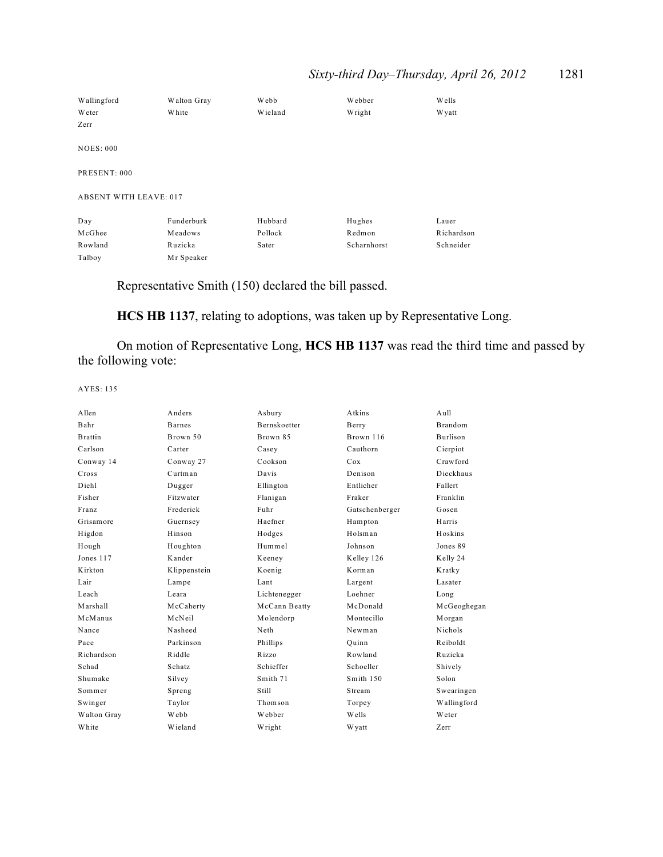# *Sixty-third Day–Thursday, April 26, 2012* 1281

| Wallingford                   | Walton Gray | Webb    | Webber      | Wells      |
|-------------------------------|-------------|---------|-------------|------------|
| Weter                         | White       | Wieland | Wright      | W yatt     |
| Zerr                          |             |         |             |            |
| <b>NOES: 000</b>              |             |         |             |            |
| PRESENT: 000                  |             |         |             |            |
| <b>ABSENT WITH LEAVE: 017</b> |             |         |             |            |
| Day                           | Funderburk  | Hubbard | Hughes      | Lauer      |
| McGhee                        | Meadows     | Pollock | Redmon      | Richardson |
| Rowland                       | Ruzicka     | Sater   | Scharnhorst | Schneider  |
| Talboy                        | Mr Speaker  |         |             |            |

Representative Smith (150) declared the bill passed.

**HCS HB 1137**, relating to adoptions, was taken up by Representative Long.

On motion of Representative Long, **HCS HB 1137** was read the third time and passed by the following vote:

| Allen          | Anders        | Asbury              | Atkins         | Aull            |
|----------------|---------------|---------------------|----------------|-----------------|
| Bahr           | <b>Barnes</b> | <b>Bernskoetter</b> | Berry          | <b>Brandom</b>  |
| <b>Brattin</b> | Brown 50      | Brown 85            | Brown 116      | <b>Burlison</b> |
| Carlson        | Carter        | Casey               | Cauthorn       | Cierpiot        |
| Conway 14      | Conway 27     | Cookson             | Cox            | Crawford        |
| Cross          | Curtman       | Davis               | Denison        | Dieckhaus       |
| Diehl          | Dugger        | Ellington           | Entlicher      | Fallert         |
| Fisher         | Fitzwater     | Flanigan            | Fraker         | Franklin        |
| Franz          | Frederick     | Fuhr                | Gatschenberger | Gosen           |
| Grisamore      | Guernsey      | Haefner             | Hampton        | Harris          |
| Higdon         | Hinson        | Hodges              | Holsman        | Hoskins         |
| Hough          | Houghton      | Hummel              | Johnson        | Jones 89        |
| Jones 117      | Kander        | Keeney              | Kelley 126     | Kelly 24        |
| Kirkton        | Klippenstein  | Koenig              | Korman         | Kratky          |
| Lair           | Lampe         | Lant                | Largent        | Lasater         |
| Leach          | Leara         | Lichtenegger        | Loehner        | Long            |
| Marshall       | McCaherty     | McCann Beatty       | McDonald       | McGeoghegan     |
| McManus        | McNeil        | Molendorp           | Montecillo     | Morgan          |
| Nance          | Nasheed       | Neth                | Newman         | <b>Nichols</b>  |
| Pace           | Parkinson     | Phillips            | Ouinn          | Reiboldt        |
| Richardson     | Riddle        | Rizzo               | Rowland        | Ruzicka         |
| Schad          | Schatz        | Schieffer           | Schoeller      | Shively         |
| Shumake        | Silvey        | Smith 71            | Smith 150      | Solon           |
| Sommer         | Spreng        | Still               | Stream         | Swearingen      |
| Swinger        | Taylor        | Thomson             | Torpey         | Wallingford     |
| Walton Gray    | Webb          | Webber              | Wells          | Weter           |
| White          | Wieland       | Wright              | W yatt         | Zerr            |
|                |               |                     |                |                 |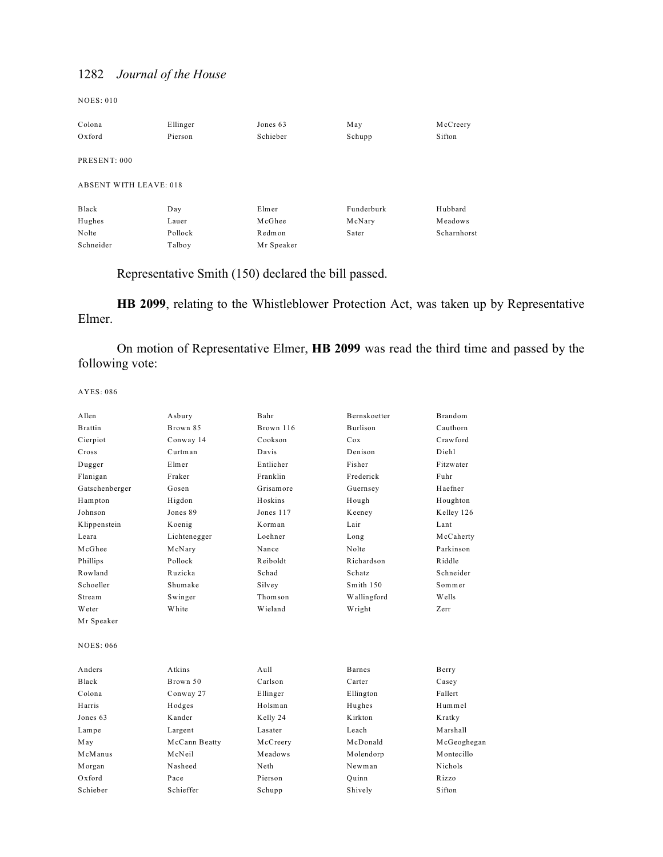NOES: 010

| Colona                        | Ellinger | Jones 63   | May        | McCreery    |
|-------------------------------|----------|------------|------------|-------------|
| Oxford                        | Pierson  | Schieber   | Schupp     | Sifton      |
| PRESENT: 000                  |          |            |            |             |
| <b>ABSENT WITH LEAVE: 018</b> |          |            |            |             |
| Black                         | Day      | Elmer      | Funderburk | Hubbard     |
| Hughes                        | Lauer    | McGhee     | McNary     | Meadows     |
| Nolte                         | Pollock  | Redmon     | Sater      | Scharnhorst |
| Schneider                     | Talboy   | Mr Speaker |            |             |

Representative Smith (150) declared the bill passed.

**HB 2099**, relating to the Whistleblower Protection Act, was taken up by Representative Elmer.

On motion of Representative Elmer, **HB 2099** was read the third time and passed by the following vote:

| Allen            | Asbury        | Bahr      | Bernskoetter    | Brandom     |
|------------------|---------------|-----------|-----------------|-------------|
| <b>Brattin</b>   | Brown 85      | Brown 116 | <b>Burlison</b> | Cauthorn    |
| Cierpiot         | Conway 14     | Cookson   | Cox             | Crawford    |
| Cross            | Curtman       | Davis     | Denison         | Diehl       |
| Dugger           | Elmer         | Entlicher | Fisher          | Fitzwater   |
| Flanigan         | Fraker        | Franklin  | Frederick       | Fuhr        |
| Gatschenberger   | Gosen         | Grisamore | Guernsey        | Haefner     |
| Hampton          | Higdon        | Hoskins   | Hough           | Houghton    |
| Johnson          | Jones 89      | Jones 117 | Keeney          | Kelley 126  |
| Klippenstein     | Koenig        | Korman    | Lair            | Lant        |
| Leara            | Lichtenegger  | Loehner   | Long            | McCaherty   |
| McGhee           | McNary        | Nance     | Nolte           | Parkinson   |
| Phillips         | Pollock       | Reiboldt  | Richardson      | Riddle      |
| Rowland          | Ruzicka       | Schad     | Schatz          | Schneider   |
| Schoeller        | Shumake       | Silvey    | Smith 150       | Sommer      |
| Stream           | Swinger       | Thomson   | Wallingford     | Wells       |
| Weter            | White         | Wieland   | Wright          | Zerr        |
| Mr Speaker       |               |           |                 |             |
| <b>NOES: 066</b> |               |           |                 |             |
| Anders           | Atkins        | $A$ ull   | <b>Barnes</b>   | Berry       |
| Black            | Brown 50      | Carlson   | Carter          | Casey       |
| Colona           | Conway 27     | Ellinger  | Ellington       | Fallert     |
| Harris           | Hodges        | Holsman   | Hughes          | Hummel      |
| Jones 63         | Kander        | Kelly 24  | Kirkton         | Kratky      |
| Lampe            | Largent       | Lasater   | Leach           | Marshall    |
| May              | McCann Beatty | McCreery  | McDonald        | McGeoghegan |
| McManus          | McNeil        | Meadows   | Molendorp       | Montecillo  |
| Morgan           | Nasheed       | Neth      | Newman          | Nichols     |
| $Ox$ ford        | Pace          | Pierson   | Quinn           | Rizzo       |
| Schieber         | Schieffer     | Schupp    | Shively         | Sifton      |
|                  |               |           |                 |             |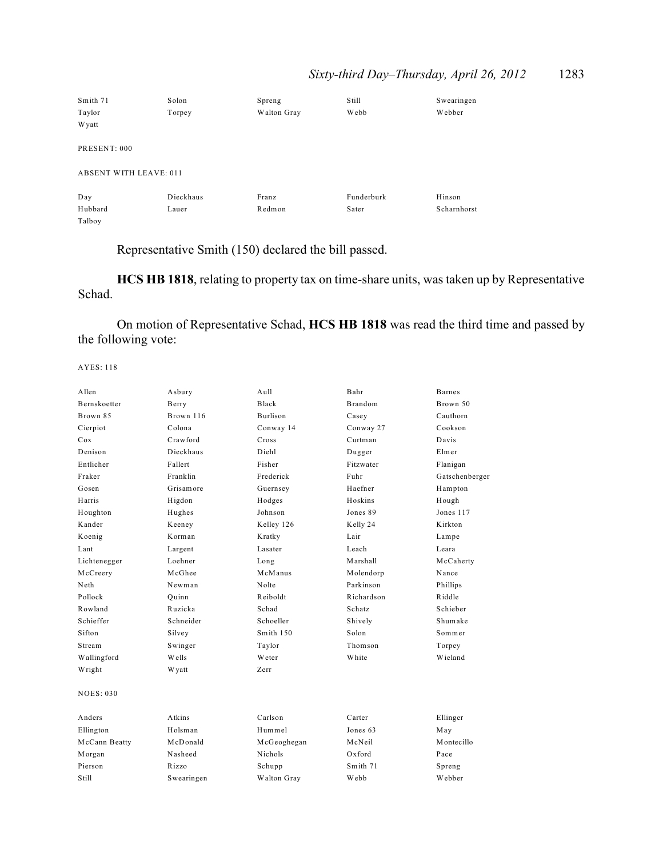# *Sixty-third Day–Thursday, April 26, 2012* 1283

| Smith 71                      | Solon     | Spreng      | Still      | Swearingen  |
|-------------------------------|-----------|-------------|------------|-------------|
| Taylor                        | Torpey    | Walton Gray | Webb       | Webber      |
| <b>Wyatt</b>                  |           |             |            |             |
|                               |           |             |            |             |
| PRESENT: 000                  |           |             |            |             |
| <b>ABSENT WITH LEAVE: 011</b> |           |             |            |             |
|                               |           |             |            |             |
| Day                           | Dieckhaus | Franz       | Funderburk | Hinson      |
| Hubbard                       | Lauer     | Redmon      | Sater      | Scharnhorst |
| Talboy                        |           |             |            |             |

Representative Smith (150) declared the bill passed.

**HCS HB 1818**, relating to property tax on time-share units, was taken up by Representative Schad.

On motion of Representative Schad, **HCS HB 1818** was read the third time and passed by the following vote:

| Bernskoetter<br>Berry   |            | Black           | <b>Brandom</b> | Brown 50       |
|-------------------------|------------|-----------------|----------------|----------------|
| Brown 85                | Brown 116  | <b>Burlison</b> | Casey          | Cauthorn       |
| Cierpiot<br>Colona      |            | Conway 14       | Conway 27      | Cookson        |
| Cox                     | Crawford   | Cross           | Curtman        | Davis          |
| Denison                 | Dieckhaus  | Diehl           | Dugger         | Elmer          |
| Entlicher<br>Fallert    |            | Fisher          | Fitzwater      | Flanigan       |
| Franklin<br>Fraker      |            | Frederick       | Fuhr           | Gatschenberger |
| Gosen                   | Grisamore  | Guernsey        | Haefner        | Hampton        |
| Harris<br>Higdon        |            | Hodges          | Hoskins        | Hough          |
| Houghton<br>Hughes      |            | Johnson         | Jones 89       | Jones 117      |
| Kander<br>Keeney        |            | Kelley 126      | Kelly 24       | Kirkton        |
| Koenig<br>Korman        |            | Kratky          | Lair           | Lampe          |
| Lant<br>Largent         |            | Lasater         | Leach          | Leara          |
| Loehner<br>Lichtenegger |            | Long            | Marshall       | McCaherty      |
| McCreery<br>McGhee      |            | McManus         | Molendorp      | Nance          |
| Neth<br>Newman          |            | Nolte           | Parkinson      | Phillips       |
| Pollock<br>Ouinn        |            | Reiboldt        | Richardson     | Riddle         |
| Rowland<br>Ruzicka      |            | Schad           | Schatz         | Schieber       |
| Schieffer               | Schneider  | Schoeller       | Shively        | Shumake        |
| Sifton<br>Silvey        |            | Smith 150       | Solon          | Sommer         |
| Stream<br>Swinger       |            | Taylor          | Thomson        | Torpey         |
| Wallingford<br>Wells    |            | Weter           | White          | Wieland        |
| Wright<br><b>Wyatt</b>  |            | Zerr            |                |                |
| <b>NOES: 030</b>        |            |                 |                |                |
| Atkins<br>Anders        |            | Carlson         | Carter         | Ellinger       |
| Holsman<br>Ellington    |            | Hummel          | Jones 63       | May            |
| McCann Beatty           | McDonald   | McGeoghegan     | McNeil         | Montecillo     |
| Nasheed<br>Morgan       |            | Nichols         | Oxford         | Pace           |
| Pierson<br>Rizzo        |            | Schupp          | Smith 71       | Spreng         |
| Still                   | Swearingen | Walton Gray     | Webb           | Webber         |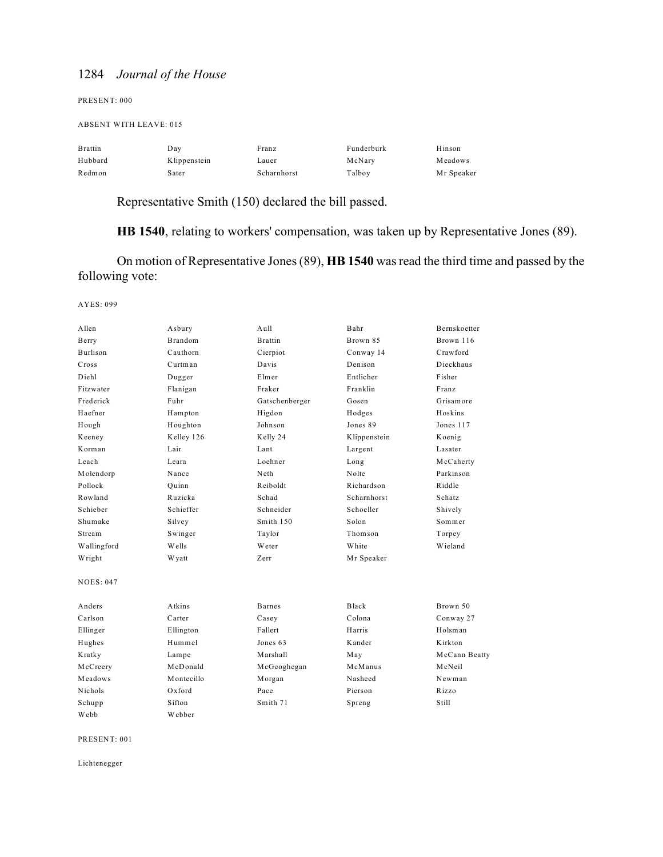PRESENT: 000

ABSENT WITH LEAVE: 015

| <b>Brattin</b> | Day          | Franz       | Funderburk | Hinson     |
|----------------|--------------|-------------|------------|------------|
| Hubbard        | Klippenstein | Lauer       | McNary     | Meadows    |
| Redmon         | Sater        | Scharnhorst | Talboy     | Mr Speaker |

Representative Smith (150) declared the bill passed.

**HB 1540**, relating to workers' compensation, was taken up by Representative Jones (89).

On motion of Representative Jones (89), **HB 1540** was read the third time and passed by the following vote:

AYES: 099

| Allen            | Asbury         | Aul1           | Bahr         | Bernskoetter  |
|------------------|----------------|----------------|--------------|---------------|
| Berry            | <b>Brandom</b> | <b>Brattin</b> | Brown 85     | Brown 116     |
| <b>Burlison</b>  | Cauthorn       | Cierpiot       | Conway 14    | Crawford      |
| Cross            | Curtman        | Davis          | Denison      | Dieckhaus     |
| Diehl            | Dugger         | Elmer          | Entlicher    | Fisher        |
| Fitzwater        | Flanigan       | Fraker         | Franklin     | Franz         |
| Frederick        | Fuhr           | Gatschenberger | Gosen        | Grisamore     |
| Haefner          | Hampton        | Higdon         | Hodges       | Hoskins       |
| Hough            | Houghton       | Johnson        | Jones 89     | Jones 117     |
| Keeney           | Kelley 126     | Kelly 24       | Klippenstein | Koenig        |
| Korman           | Lair           | Lant           | Largent      | Lasater       |
| Leach            | Leara          | Loehner        | Long         | McCaherty     |
| Molendorp        | Nance          | Neth           | Nolte        | Parkinson     |
| Pollock          | Ouinn          | Reiboldt       | Richardson   | Riddle        |
| Rowland          | Ruzicka        | Schad          | Scharnhorst  | Schatz        |
| Schieber         | Schieffer      | Schneider      | Schoeller    | Shively       |
| Shumake          | Silvey         | Smith 150      | Solon        | Sommer        |
| Stream           | Swinger        | Taylor         | Thomson      | Torpey        |
| Wallingford      | Wells          | Weter          | White        | Wieland       |
| Wright           | Wyatt          | Zerr           | Mr Speaker   |               |
| <b>NOES: 047</b> |                |                |              |               |
| Anders           | Atkins         | <b>Barnes</b>  | Black        | Brown 50      |
| Carlson          | Carter         | Casey          | Colona       | Conway 27     |
| Ellinger         | Ellington      | Fallert        | Harris       | Holsman       |
| Hughes           | Hummel         | Jones 63       | Kander       | Kirkton       |
| Kratky           | Lampe          | Marshall       | May          | McCann Beatty |
| McCreery         | McDonald       | McGeoghegan    | McManus      | McNeil        |
| Meadows          | Montecillo     | Morgan         | Nasheed      | Newman        |
| Nichols          | Oxford         | Pace           | Pierson      | Rizzo         |
| Schupp           | Sifton         | Smith 71       | Spreng       | Still         |
| Webb             | Webber         |                |              |               |

PRESENT: 001

Lichtenegger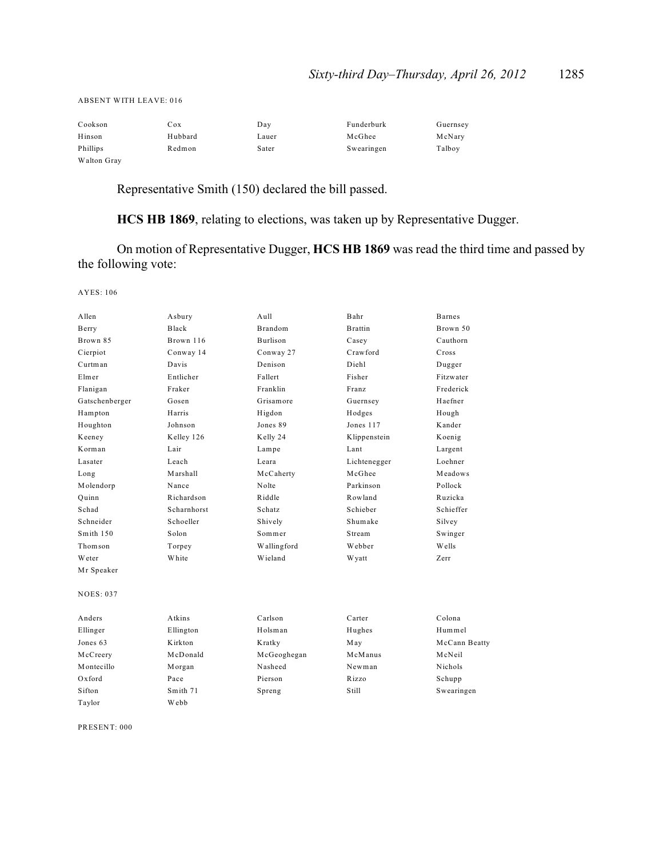#### ABSENT WITH LEAVE: 016

| Cookson     | Cox     | Day   | Funderburk | Guernsey |
|-------------|---------|-------|------------|----------|
| Hinson      | Hubbard | Lauer | McGhee     | McNary   |
| Phillips    | Redmon  | Sater | Swearingen | Talboy   |
| Walton Gray |         |       |            |          |

Representative Smith (150) declared the bill passed.

**HCS HB 1869**, relating to elections, was taken up by Representative Dugger.

On motion of Representative Dugger, **HCS HB 1869** was read the third time and passed by the following vote:

AYES: 106

| Allen            | Asbury       | Aull           | Bahr           | <b>Barnes</b> |
|------------------|--------------|----------------|----------------|---------------|
| Berry            | <b>Black</b> | <b>Brandom</b> | <b>Brattin</b> | Brown 50      |
| Brown 85         | Brown 116    | Burlison       | Casey          | Cauthorn      |
| Cierpiot         | Conway 14    | Conway 27      | Crawford       | Cross         |
| Curtman          | Davis        | Denison        | Diehl          | Dugger        |
| Elmer            | Entlicher    | Fallert        | Fisher         | Fitzwater     |
| Flanigan         | Fraker       | Franklin       | Franz          | Frederick     |
| Gatschenberger   | Gosen        | Grisamore      | Guernsey       | Haefner       |
| Hampton          | Harris       | Higdon         | Hodges         | Hough         |
| Houghton         | Johnson      | Jones 89       | Jones 117      | Kander        |
| Keeney           | Kelley 126   | Kelly 24       | Klippenstein   | Koenig        |
| Korman           | Lair         | Lampe          | Lant           | Largent       |
| Lasater          | Leach        | Leara          | Lichtenegger   | Loehner       |
| Long             | Marshall     | McCaherty      | McGhee         | Meadows       |
| Molendorp        | Nance        | Nolte          | Parkinson      | Pollock       |
| Ouinn            | Richardson   | Riddle         | Rowland        | Ruzicka       |
| Schad            | Scharnhorst  | Schatz         | Schieber       | Schieffer     |
| Schneider        | Schoeller    | Shively        | Shumake        | Silvey        |
| Smith 150        | Solon        | Sommer         | Stream         | Swinger       |
| Thomson          | Torpey       | Wallingford    | Webber         | Wells         |
| Weter            | White        | Wieland        | <b>Wyatt</b>   | Zerr          |
| Mr Speaker       |              |                |                |               |
| <b>NOES: 037</b> |              |                |                |               |
| Anders           | Atkins       | Carlson        | Carter         | Colona        |
| Ellinger         | Ellington    | Holsman        | Hughes         | Hummel        |
| Jones 63         | K irkton     | Kratky         | May            | McCann Beatty |
| McCreery         | McDonald     | McGeoghegan    | McManus        | McNeil        |
| Montecillo       | Morgan       | Nasheed        | Newman         | Nichols       |
| Oxford           | Pace         | Pierson        | Rizzo          | Schupp        |
| Sifton           | Smith 71     | Spreng         | Still          | Swearingen    |
| Taylor           | Webb         |                |                |               |

PRESENT: 000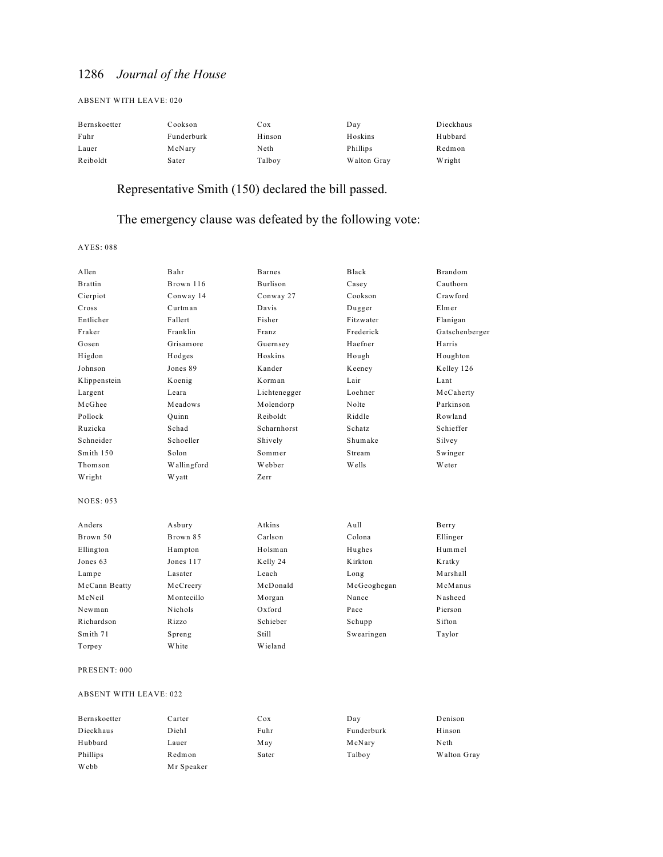#### ABSENT WITH LEAVE: 020

| Bernskoetter | Cookson    | Cox    | Day         | Dieckhaus |
|--------------|------------|--------|-------------|-----------|
| Fuhr         | Funderburk | Hinson | Hoskins     | Hubbard   |
| Lauer        | McNary     | Neth   | Phillips    | Redmon    |
| Reiboldt     | Sater      | Talboy | Walton Gray | Wright    |

# Representative Smith (150) declared the bill passed.

# The emergency clause was defeated by the following vote:

AYES: 088

| A llen           | Bahr        | <b>Barnes</b> | Black       | <b>Brandom</b> |
|------------------|-------------|---------------|-------------|----------------|
| <b>Brattin</b>   | Brown 116   | Burlison      | Casev       | Cauthorn       |
| Cierpiot         | Conway 14   | Conway 27     | Cookson     | Crawford       |
| Cross            | Curtman     | Davis         | Dugger      | Elmer          |
| Entlicher        | Fallert     | Fisher        | Fitzwater   | Flanigan       |
| Fraker           | Franklin    | Franz         | Frederick   | Gatschenberger |
| Gosen            | Grisamore   | Guernsey      | Haefner     | Harris         |
| Higdon           | Hodges      | Hoskins       | Hough       | Houghton       |
| Johnson          | Jones 89    | Kander        | Keeney      | Kelley 126     |
| Klippenstein     | Koenig      | Korman        | Lair        | Lant           |
| Largent          | Leara       | Lichtenegger  | Loehner     | McCaherty      |
| McGhee           | Meadows     | Molendorp     | Nolte       | Parkinson      |
| Pollock          | Ouinn       | Reiboldt      | Riddle      | Rowland        |
| Ruzicka          | Schad       | Scharnhorst   | Schatz      | Schieffer      |
| Schneider        | Schoeller   | Shively       | Shumake     | Silvey         |
| Smith 150        | Solon       | Sommer        | Stream      | Swinger        |
| Thomson          | Wallingford | Webber        | Wells       | <b>W</b> eter  |
| Wright           | Wyatt       | Zerr          |             |                |
| <b>NOES: 053</b> |             |               |             |                |
| Anders           | Asbury      | Atkins        | $A$ ull     | Berry          |
| Brown 50         | Brown 85    | Carlson       | Colona      | Ellinger       |
| Ellington        | Hampton     | Holsman       | Hughes      | Hummel         |
| Jones 63         | Jones 117   | Kelly 24      | K irkton    | Kratky         |
| Lampe            | Lasater     | Leach         | Long        | Marshall       |
| McCann Beatty    | McCreery    | McDonald      | McGeoghegan | McManus        |
| McNeil           | Montecillo  | Morgan        | Nance       | Nasheed        |
| Newman           | Nichols     | $Ox$ ford     | Pace        | Pierson        |
| Richardson       | Rizzo       | Schieber      | Schupp      | Sifton         |
| Smith 71         | Spreng      | Still         | Swearingen  | Taylor         |
| Torpey           | White       | Wieland       |             |                |
|                  |             |               |             |                |

#### PRESENT: 000

ABSENT WITH LEAVE: 022

| Bernskoetter | Carter     | Cox   | Day        | Denison     |
|--------------|------------|-------|------------|-------------|
| Dieckhaus    | Diehl      | Fuhr  | Funderburk | Hinson      |
| Hubbard      | Lauer      | May   | McNary     | Neth        |
| Phillips     | Redmon     | Sater | Talboy     | Walton Gray |
| Webb         | Mr Speaker |       |            |             |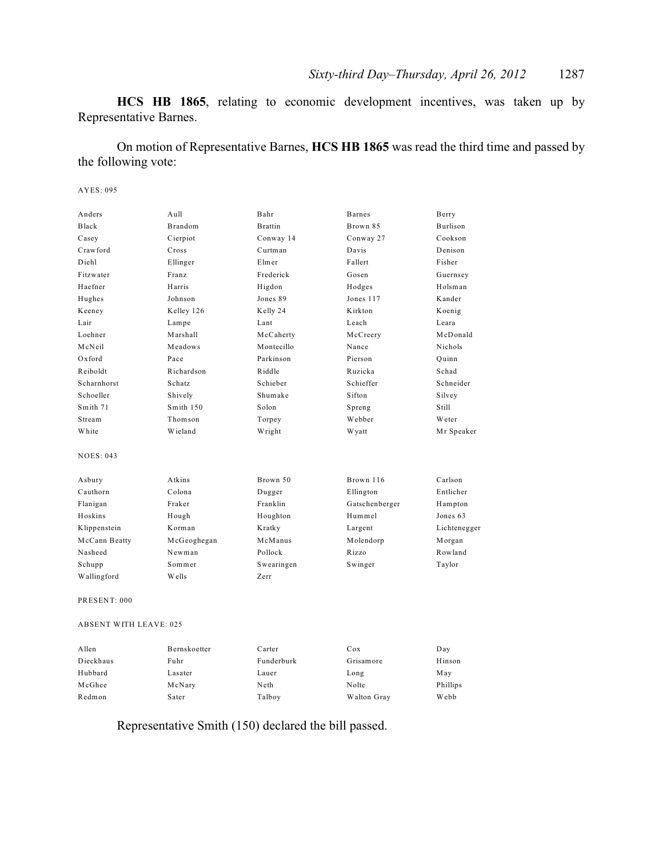**HCS HB 1865**, relating to economic development incentives, was taken up by Representative Barnes.

On motion of Representative Barnes, **HCS HB 1865** was read the third time and passed by the following vote:

AYES: 095

| Anders        | Aull           | Bahr           | <b>Barnes</b>  | Berry           |
|---------------|----------------|----------------|----------------|-----------------|
| <b>Black</b>  | <b>Brandom</b> | <b>Brattin</b> | Brown 85       | <b>Burlison</b> |
| Casey         | Cierpiot       | Conway 14      | Conway 27      | Cookson         |
| Crawford      | Cross          | Curtman        | Davis          | Denison         |
| Diehl         | Ellinger       | Elmer          | Fallert        | Fisher          |
| Fitzwater     | Franz          | Frederick      | Gosen          | Guernsey        |
| Haefner       | Harris         | Higdon         | Hodges         | Holsman         |
| Hughes        | Johnson        | Jones 89       | Jones 117      | Kander          |
| Keeney        | Kelley 126     | Kelly 24       | K irkton       | Koenig          |
| Lair          | Lampe          | Lant           | Leach          | Leara           |
| Loehner       | Marshall       | McCaherty      | McCreery       | McDonald        |
| McNeil        | Meadows        | Montecillo     | Nance          | <b>Nichols</b>  |
| $Ox$ ford     | Pace           | Parkinson      | Pierson        | Quinn           |
| Reiboldt      | Richardson     | Riddle         | Ruzicka        | Schad           |
| Scharnhorst   | Schatz         | Schieber       | Schieffer      | Schneider       |
| Schoeller     | Shively        | Shumake        | Sifton         | Silvey          |
| Smith 71      | Smith 150      | Solon          | Spreng         | Still           |
| Stream        | Thomson        | Torpey         | Webber         | Weter           |
| White         | Wieland        | Wright         | W yatt         | Mr Speaker      |
| NOES: 043     |                |                |                |                 |
| Asbury        | Atkins         | Brown 50       | Brown 116      | Carlson         |
| Cauthorn      | Colona         | Dugger         | Ellington      | Entlicher       |
| Flanigan      | Fraker         | Franklin       | Gatschenberger | Hampton         |
| Hoskins       | Hough          | Houghton       | Hummel         | Jones 63        |
| Klippenstein  | Korman         | Kratky         | Largent        | Lichtenegger    |
| McCann Beatty | McGeoghegan    | McManus        | Molendorp      | Morgan          |
| Nasheed       | Newman         | Pollock        | Rizzo          | Rowland         |
| Schupp        | Sommer         | Swearingen     | Swinger        | Taylor          |
| Wallingford   | Wells          | Zerr           |                |                 |
|               |                |                |                |                 |

PRESENT: 000

ABSENT WITH LEAVE: 025

| Allen     | Bernskoetter | Carter     | Cox         | Day      |
|-----------|--------------|------------|-------------|----------|
| Dieckhaus | Fuhr         | Funderburk | Grisamore   | Hinson   |
| Hubbard   | Lasater      | Lauer      | Long        | May      |
| McGhee    | McNary       | Neth       | Nolte       | Phillips |
| Redmon    | Sater        | Talboy     | Walton Gray | Webb     |

Representative Smith (150) declared the bill passed.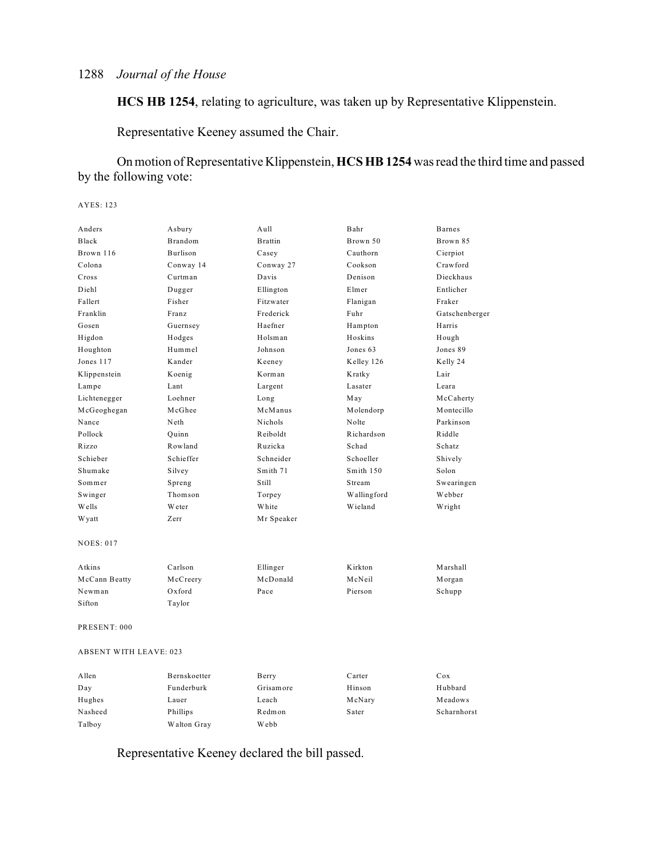**HCS HB 1254**, relating to agriculture, was taken up by Representative Klippenstein.

Representative Keeney assumed the Chair.

On motion of Representative Klippenstein, **HCS HB 1254** was read the third time and passed by the following vote:

#### AYES: 123

| Anders                 | Asbury    | Aull            | Bahr        | <b>Barnes</b>  |
|------------------------|-----------|-----------------|-------------|----------------|
| Black                  | Brandom   | <b>B</b> rattin | Brown 50    | Brown 85       |
| Brown 116              | Burlison  | Casey           | Cauthorn    | Cierpiot       |
| Colona                 | Conway 14 | Conway 27       | Cookson     | Crawford       |
| Cross                  | Curtman   | Davis           | Denison     | Dieckhaus      |
| Diehl                  | Dugger    | Ellington       | Elmer       | Entlicher      |
| Fallert                | Fisher    | Fitzwater       | Flanigan    | Fraker         |
| Franklin               | Franz     | Frederick       | Fuhr        | Gatschenberger |
| Gosen                  | Guernsey  | Haefner         | Hampton     | Harris         |
| Higdon                 | Hodges    | Holsman         | Hoskins     | Hough          |
| Houghton               | Hummel    | Johnson         | Jones 63    | Jones 89       |
| Jones 117              | Kander    | Keeney          | Kelley 126  | Kelly 24       |
| Klippenstein           | Koenig    | Korman          | Kratky      | Lair           |
| Lampe                  | Lant      | Largent         | Lasater     | Leara          |
| Lichtenegger           | Loehner   | Long            | May         | McCaherty      |
| McGeoghegan            | McGhee    | McManus         | Molendorp   | Montecillo     |
| Nance                  | Neth      | Nichols         | Nolte       | Parkinson      |
| Pollock                | Ouinn     | Reiboldt        | Richardson  | Riddle         |
| Rizzo                  | Rowland   | Ruzicka         | Schad       | Schatz         |
| Schieber               | Schieffer | Schneider       | Schoeller   | Shively        |
| Shumake                | Silvey    | Smith 71        | Smith 150   | Solon          |
| Sommer                 | Spreng    | Still           | Stream      | Swearingen     |
| Swinger                | Thomson   | Torpey          | Wallingford | Webber         |
| <b>Wells</b>           | Weter     | White           | Wieland     | Wright         |
| W yatt                 | Zerr      | Mr Speaker      |             |                |
| <b>NOES: 017</b>       |           |                 |             |                |
| Atkins                 | Carlson   | Ellinger        | Kirkton     | Marshall       |
| McCann Beatty          | McCreery  | McDonald        | McNeil      | Morgan         |
| Newman                 | Oxford    | Pace            | Pierson     | Schupp         |
| Sifton                 | Taylor    |                 |             |                |
| PRESENT: 000           |           |                 |             |                |
| ABSENT WITH LEAVE: 023 |           |                 |             |                |
|                        |           |                 |             |                |

| Allen   | Bernskoetter | Berry       | Carter | Cox         |
|---------|--------------|-------------|--------|-------------|
| Day     | Funderburk   | Grisamore   | Hinson | Hubbard     |
| Hughes  | Lauer        | Leach       | McNary | Meadows     |
| Nasheed | Phillips     | Redmon      | Sater  | Scharnhorst |
| Talboy  | Walton Gray  | <b>Webb</b> |        |             |

Representative Keeney declared the bill passed.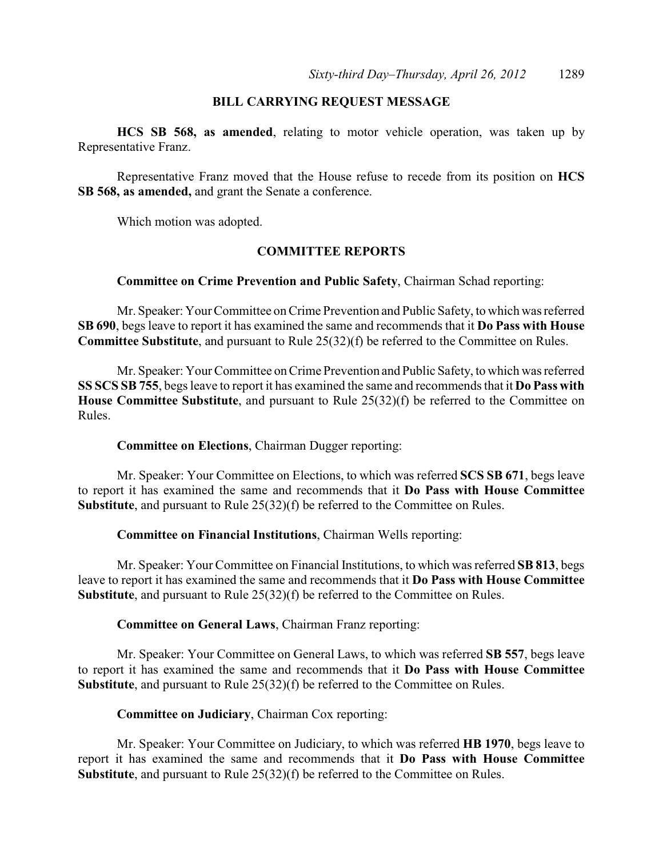# **BILL CARRYING REQUEST MESSAGE**

**HCS SB 568, as amended**, relating to motor vehicle operation, was taken up by Representative Franz.

Representative Franz moved that the House refuse to recede from its position on **HCS SB 568, as amended,** and grant the Senate a conference.

Which motion was adopted.

### **COMMITTEE REPORTS**

**Committee on Crime Prevention and Public Safety**, Chairman Schad reporting:

Mr. Speaker: Your Committee on Crime Prevention and Public Safety, to which was referred **SB 690**, begs leave to report it has examined the same and recommends that it **Do Pass with House Committee Substitute**, and pursuant to Rule 25(32)(f) be referred to the Committee on Rules.

Mr. Speaker: Your Committee on Crime Prevention and Public Safety, to which was referred **SS SCS SB 755**, begs leave to report it has examined the same and recommends that it **Do Pass with House Committee Substitute**, and pursuant to Rule 25(32)(f) be referred to the Committee on Rules.

### **Committee on Elections**, Chairman Dugger reporting:

Mr. Speaker: Your Committee on Elections, to which was referred **SCS SB 671**, begs leave to report it has examined the same and recommends that it **Do Pass with House Committee Substitute**, and pursuant to Rule 25(32)(f) be referred to the Committee on Rules.

**Committee on Financial Institutions**, Chairman Wells reporting:

Mr. Speaker: Your Committee on Financial Institutions, to which was referred **SB 813**, begs leave to report it has examined the same and recommends that it **Do Pass with House Committee Substitute**, and pursuant to Rule 25(32)(f) be referred to the Committee on Rules.

**Committee on General Laws**, Chairman Franz reporting:

Mr. Speaker: Your Committee on General Laws, to which was referred **SB 557**, begs leave to report it has examined the same and recommends that it **Do Pass with House Committee Substitute**, and pursuant to Rule 25(32)(f) be referred to the Committee on Rules.

**Committee on Judiciary**, Chairman Cox reporting:

Mr. Speaker: Your Committee on Judiciary, to which was referred **HB 1970**, begs leave to report it has examined the same and recommends that it **Do Pass with House Committee Substitute**, and pursuant to Rule 25(32)(f) be referred to the Committee on Rules.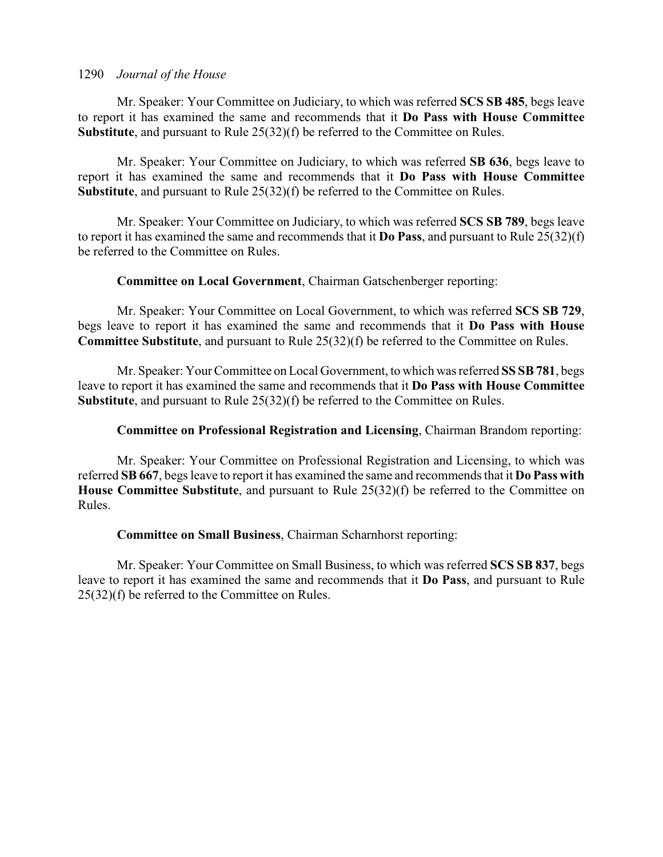Mr. Speaker: Your Committee on Judiciary, to which was referred **SCS SB 485**, begs leave to report it has examined the same and recommends that it **Do Pass with House Committee Substitute**, and pursuant to Rule 25(32)(f) be referred to the Committee on Rules.

Mr. Speaker: Your Committee on Judiciary, to which was referred **SB 636**, begs leave to report it has examined the same and recommends that it **Do Pass with House Committee Substitute**, and pursuant to Rule 25(32)(f) be referred to the Committee on Rules.

Mr. Speaker: Your Committee on Judiciary, to which was referred **SCS SB 789**, begs leave to report it has examined the same and recommends that it **Do Pass**, and pursuant to Rule 25(32)(f) be referred to the Committee on Rules.

### **Committee on Local Government**, Chairman Gatschenberger reporting:

Mr. Speaker: Your Committee on Local Government, to which was referred **SCS SB 729**, begs leave to report it has examined the same and recommends that it **Do Pass with House Committee Substitute**, and pursuant to Rule 25(32)(f) be referred to the Committee on Rules.

Mr. Speaker: Your Committee on Local Government, to which was referred **SS SB 781**, begs leave to report it has examined the same and recommends that it **Do Pass with House Committee Substitute**, and pursuant to Rule 25(32)(f) be referred to the Committee on Rules.

# **Committee on Professional Registration and Licensing**, Chairman Brandom reporting:

Mr. Speaker: Your Committee on Professional Registration and Licensing, to which was referred **SB 667**, begs leave to report it has examined the same and recommends that it **Do Pass with House Committee Substitute**, and pursuant to Rule 25(32)(f) be referred to the Committee on Rules.

# **Committee on Small Business**, Chairman Scharnhorst reporting:

Mr. Speaker: Your Committee on Small Business, to which was referred **SCS SB 837**, begs leave to report it has examined the same and recommends that it **Do Pass**, and pursuant to Rule 25(32)(f) be referred to the Committee on Rules.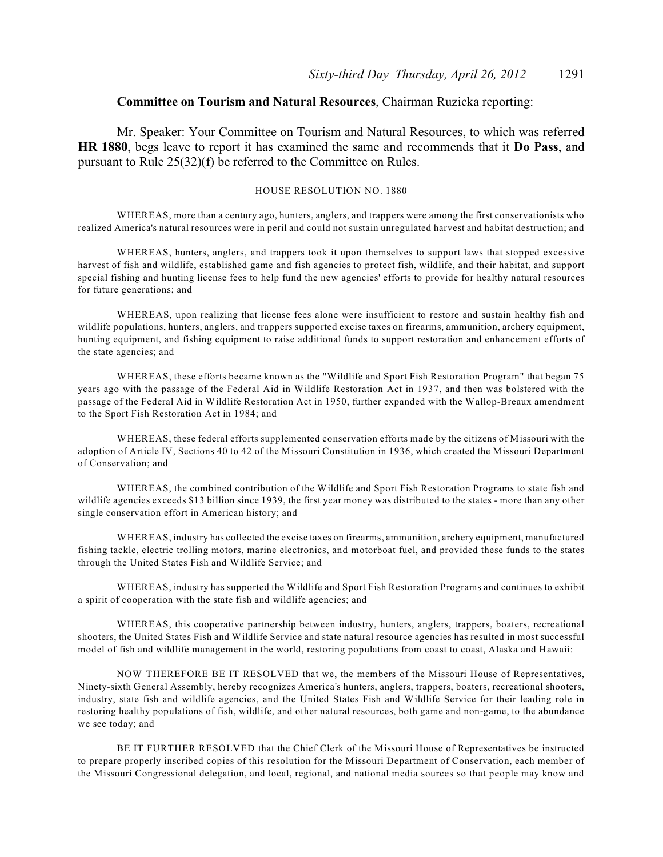### **Committee on Tourism and Natural Resources**, Chairman Ruzicka reporting:

Mr. Speaker: Your Committee on Tourism and Natural Resources, to which was referred **HR 1880**, begs leave to report it has examined the same and recommends that it **Do Pass**, and pursuant to Rule 25(32)(f) be referred to the Committee on Rules.

#### HOUSE RESOLUTION NO. 1880

WHEREAS, more than a century ago, hunters, anglers, and trappers were among the first conservationists who realized America's natural resources were in peril and could not sustain unregulated harvest and habitat destruction; and

WHEREAS, hunters, anglers, and trappers took it upon themselves to support laws that stopped excessive harvest of fish and wildlife, established game and fish agencies to protect fish, wildlife, and their habitat, and support special fishing and hunting license fees to help fund the new agencies' efforts to provide for healthy natural resources for future generations; and

WHEREAS, upon realizing that license fees alone were insufficient to restore and sustain healthy fish and wildlife populations, hunters, anglers, and trappers supported excise taxes on firearms, ammunition, archery equipment, hunting equipment, and fishing equipment to raise additional funds to support restoration and enhancement efforts of the state agencies; and

WHEREAS, these efforts became known as the "Wildlife and Sport Fish Restoration Program" that began 75 years ago with the passage of the Federal Aid in Wildlife Restoration Act in 1937, and then was bolstered with the passage of the Federal Aid in Wildlife Restoration Act in 1950, further expanded with the Wallop-Breaux amendment to the Sport Fish Restoration Act in 1984; and

WHEREAS, these federal efforts supplemented conservation efforts made by the citizens of Missouri with the adoption of Article IV, Sections 40 to 42 of the Missouri Constitution in 1936, which created the Missouri Department of Conservation; and

WHEREAS, the combined contribution of the Wildlife and Sport Fish Restoration Programs to state fish and wildlife agencies exceeds \$13 billion since 1939, the first year money was distributed to the states - more than any other single conservation effort in American history; and

WHEREAS, industry has collected the excise taxes on firearms, ammunition, archery equipment, manufactured fishing tackle, electric trolling motors, marine electronics, and motorboat fuel, and provided these funds to the states through the United States Fish and Wildlife Service; and

WHEREAS, industry has supported the Wildlife and Sport Fish Restoration Programs and continues to exhibit a spirit of cooperation with the state fish and wildlife agencies; and

WHEREAS, this cooperative partnership between industry, hunters, anglers, trappers, boaters, recreational shooters, the United States Fish and Wildlife Service and state natural resource agencies has resulted in most successful model of fish and wildlife management in the world, restoring populations from coast to coast, Alaska and Hawaii:

NOW THEREFORE BE IT RESOLVED that we, the members of the Missouri House of Representatives, Ninety-sixth General Assembly, hereby recognizes America's hunters, anglers, trappers, boaters, recreational shooters, industry, state fish and wildlife agencies, and the United States Fish and Wildlife Service for their leading role in restoring healthy populations of fish, wildlife, and other natural resources, both game and non-game, to the abundance we see today; and

BE IT FURTHER RESOLVED that the Chief Clerk of the Missouri House of Representatives be instructed to prepare properly inscribed copies of this resolution for the Missouri Department of Conservation, each member of the Missouri Congressional delegation, and local, regional, and national media sources so that people may know and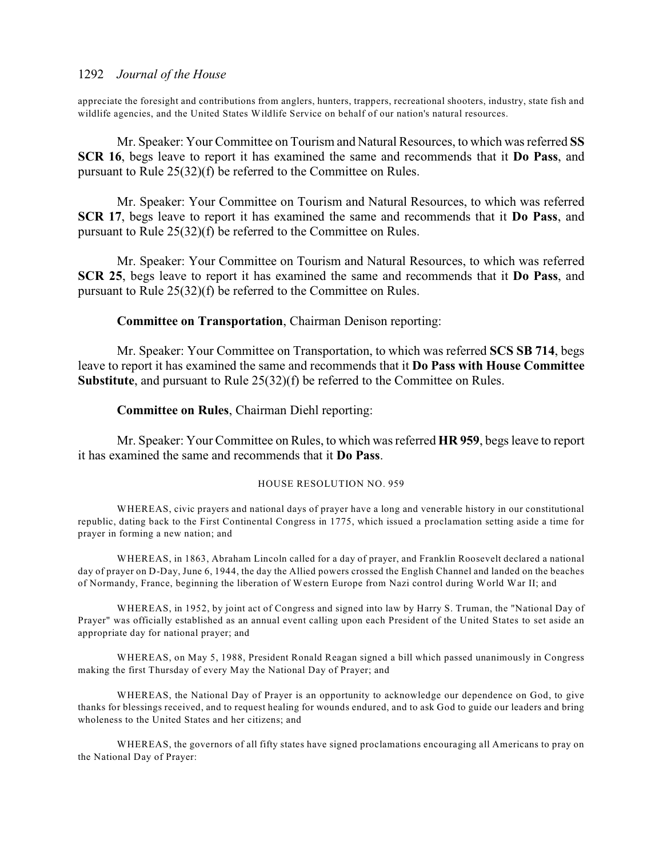appreciate the foresight and contributions from anglers, hunters, trappers, recreational shooters, industry, state fish and wildlife agencies, and the United States Wildlife Service on behalf of our nation's natural resources.

Mr. Speaker: Your Committee on Tourism and Natural Resources, to which was referred **SS SCR 16**, begs leave to report it has examined the same and recommends that it **Do Pass**, and pursuant to Rule 25(32)(f) be referred to the Committee on Rules.

Mr. Speaker: Your Committee on Tourism and Natural Resources, to which was referred **SCR 17**, begs leave to report it has examined the same and recommends that it **Do Pass**, and pursuant to Rule 25(32)(f) be referred to the Committee on Rules.

Mr. Speaker: Your Committee on Tourism and Natural Resources, to which was referred **SCR 25**, begs leave to report it has examined the same and recommends that it **Do Pass**, and pursuant to Rule 25(32)(f) be referred to the Committee on Rules.

#### **Committee on Transportation**, Chairman Denison reporting:

Mr. Speaker: Your Committee on Transportation, to which was referred **SCS SB 714**, begs leave to report it has examined the same and recommends that it **Do Pass with House Committee Substitute**, and pursuant to Rule 25(32)(f) be referred to the Committee on Rules.

#### **Committee on Rules**, Chairman Diehl reporting:

Mr. Speaker: Your Committee on Rules, to which was referred **HR 959**, begs leave to report it has examined the same and recommends that it **Do Pass**.

#### HOUSE RESOLUTION NO. 959

WHEREAS, civic prayers and national days of prayer have a long and venerable history in our constitutional republic, dating back to the First Continental Congress in 1775, which issued a proclamation setting aside a time for prayer in forming a new nation; and

WHEREAS, in 1863, Abraham Lincoln called for a day of prayer, and Franklin Roosevelt declared a national day of prayer on D-Day, June 6, 1944, the day the Allied powers crossed the English Channel and landed on the beaches of Normandy, France, beginning the liberation of Western Europe from Nazi control during World War II; and

WHEREAS, in 1952, by joint act of Congress and signed into law by Harry S. Truman, the "National Day of Prayer" was officially established as an annual event calling upon each President of the United States to set aside an appropriate day for national prayer; and

WHEREAS, on May 5, 1988, President Ronald Reagan signed a bill which passed unanimously in Congress making the first Thursday of every May the National Day of Prayer; and

WHEREAS, the National Day of Prayer is an opportunity to acknowledge our dependence on God, to give thanks for blessings received, and to request healing for wounds endured, and to ask God to guide our leaders and bring wholeness to the United States and her citizens; and

WHEREAS, the governors of all fifty states have signed proclamations encouraging all Americans to pray on the National Day of Prayer: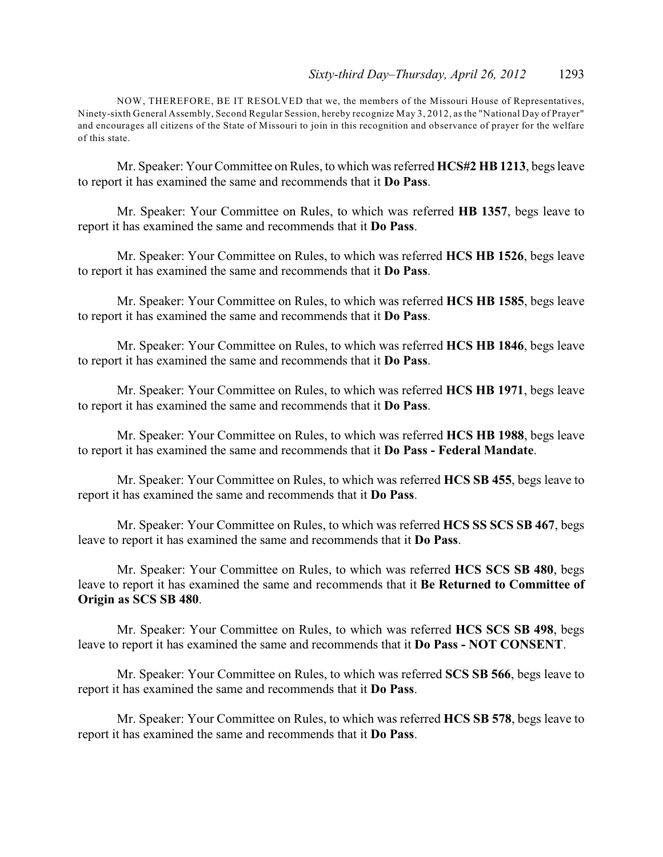NOW, THEREFORE, BE IT RESOLVED that we, the members of the Missouri House of Representatives, Ninety-sixth General Assembly, Second Regular Session, hereby recognize May 3, 2012, as the "National Day of Prayer" and encourages all citizens of the State of Missouri to join in this recognition and observance of prayer for the welfare of this state.

Mr. Speaker: Your Committee on Rules, to which was referred **HCS#2 HB 1213**, begs leave to report it has examined the same and recommends that it **Do Pass**.

Mr. Speaker: Your Committee on Rules, to which was referred **HB 1357**, begs leave to report it has examined the same and recommends that it **Do Pass**.

Mr. Speaker: Your Committee on Rules, to which was referred **HCS HB 1526**, begs leave to report it has examined the same and recommends that it **Do Pass**.

Mr. Speaker: Your Committee on Rules, to which was referred **HCS HB 1585**, begs leave to report it has examined the same and recommends that it **Do Pass**.

Mr. Speaker: Your Committee on Rules, to which was referred **HCS HB 1846**, begs leave to report it has examined the same and recommends that it **Do Pass**.

Mr. Speaker: Your Committee on Rules, to which was referred **HCS HB 1971**, begs leave to report it has examined the same and recommends that it **Do Pass**.

Mr. Speaker: Your Committee on Rules, to which was referred **HCS HB 1988**, begs leave to report it has examined the same and recommends that it **Do Pass - Federal Mandate**.

Mr. Speaker: Your Committee on Rules, to which was referred **HCS SB 455**, begs leave to report it has examined the same and recommends that it **Do Pass**.

Mr. Speaker: Your Committee on Rules, to which was referred **HCS SS SCS SB 467**, begs leave to report it has examined the same and recommends that it **Do Pass**.

Mr. Speaker: Your Committee on Rules, to which was referred **HCS SCS SB 480**, begs leave to report it has examined the same and recommends that it **Be Returned to Committee of Origin as SCS SB 480**.

Mr. Speaker: Your Committee on Rules, to which was referred **HCS SCS SB 498**, begs leave to report it has examined the same and recommends that it **Do Pass - NOT CONSENT**.

Mr. Speaker: Your Committee on Rules, to which was referred **SCS SB 566**, begs leave to report it has examined the same and recommends that it **Do Pass**.

Mr. Speaker: Your Committee on Rules, to which was referred **HCS SB 578**, begs leave to report it has examined the same and recommends that it **Do Pass**.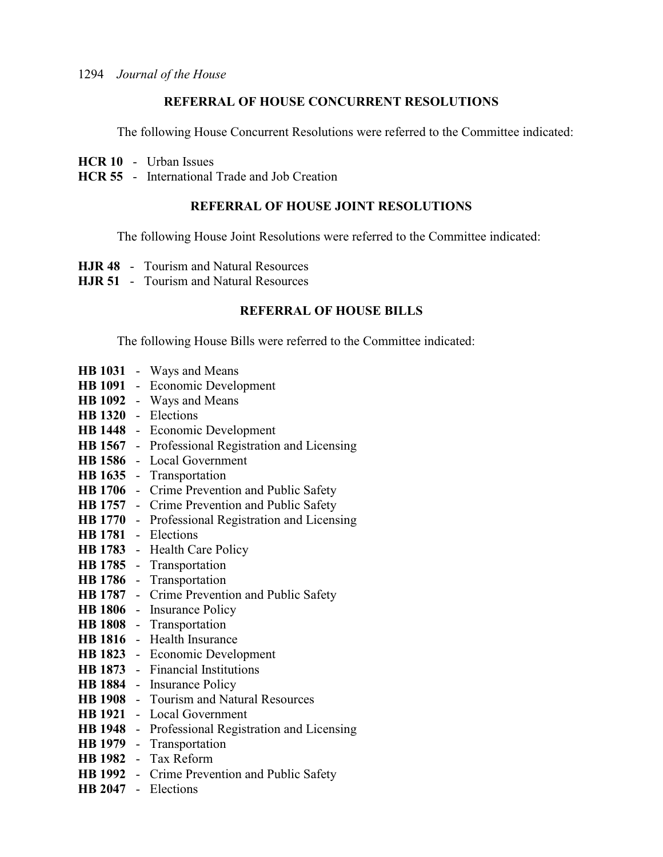# **REFERRAL OF HOUSE CONCURRENT RESOLUTIONS**

The following House Concurrent Resolutions were referred to the Committee indicated:

- **HCR 10** Urban Issues
- **HCR 55** International Trade and Job Creation

### **REFERRAL OF HOUSE JOINT RESOLUTIONS**

The following House Joint Resolutions were referred to the Committee indicated:

- **HJR 48** Tourism and Natural Resources
- **HJR 51** Tourism and Natural Resources

# **REFERRAL OF HOUSE BILLS**

The following House Bills were referred to the Committee indicated:

**HB 1031** - Ways and Means **HB 1091** - Economic Development **HB 1092** - Ways and Means **HB 1320** - Elections **HB 1448** - Economic Development **HB 1567** - Professional Registration and Licensing **HB 1586** - Local Government **HB 1635** - Transportation **HB 1706** - Crime Prevention and Public Safety **HB 1757** - Crime Prevention and Public Safety **HB 1770** - Professional Registration and Licensing **HB 1781** - Elections **HB 1783** - Health Care Policy **HB 1785** - Transportation **HB 1786** - Transportation **HB 1787** - Crime Prevention and Public Safety **HB 1806** - Insurance Policy **HB 1808** - Transportation **HB 1816** - Health Insurance **HB 1823** - Economic Development **HB 1873** - Financial Institutions **HB 1884** - Insurance Policy **HB 1908** - Tourism and Natural Resources **HB 1921** - Local Government **HB 1948** - Professional Registration and Licensing **HB 1979** - Transportation **HB 1982** - Tax Reform **HB 1992** - Crime Prevention and Public Safety **HB 2047** - Elections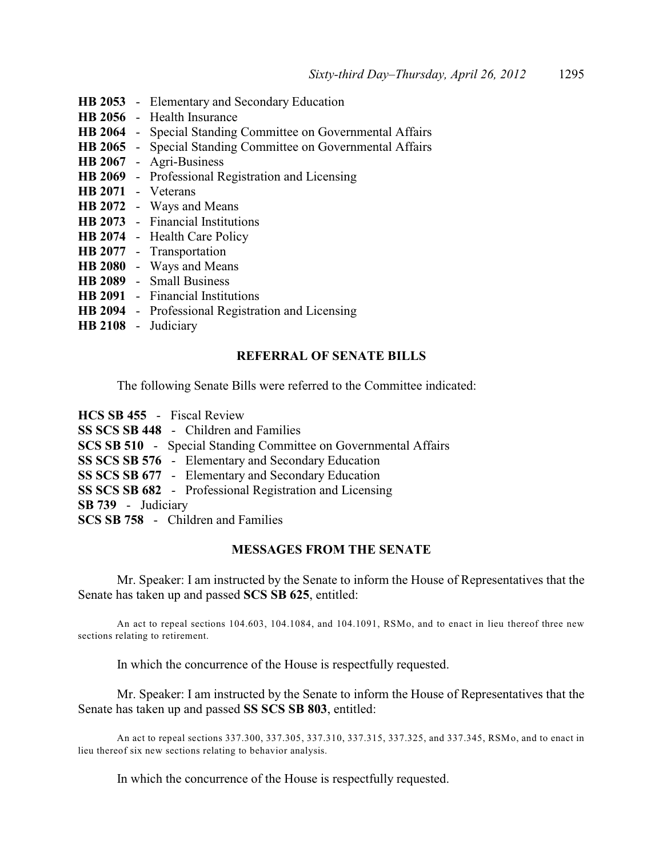**HB 2053** - Elementary and Secondary Education **HB 2056** - Health Insurance **HB 2064** - Special Standing Committee on Governmental Affairs **HB 2065** - Special Standing Committee on Governmental Affairs **HB 2067** - Agri-Business **HB 2069** - Professional Registration and Licensing **HB 2071** - Veterans **HB 2072** - Ways and Means **HB 2073** - Financial Institutions **HB 2074** - Health Care Policy **HB 2077** - Transportation **HB 2080** - Ways and Means **HB 2089** - Small Business **HB 2091** - Financial Institutions **HB 2094** - Professional Registration and Licensing **HB 2108** - Judiciary

# **REFERRAL OF SENATE BILLS**

The following Senate Bills were referred to the Committee indicated:

**HCS SB 455** - Fiscal Review **SS SCS SB 448** - Children and Families **SCS SB 510** - Special Standing Committee on Governmental Affairs **SS SCS SB 576** - Elementary and Secondary Education **SS SCS SB 677** - Elementary and Secondary Education **SS SCS SB 682** - Professional Registration and Licensing **SB 739** - Judiciary **SCS SB 758** - Children and Families

# **MESSAGES FROM THE SENATE**

Mr. Speaker: I am instructed by the Senate to inform the House of Representatives that the Senate has taken up and passed **SCS SB 625**, entitled:

An act to repeal sections 104.603, 104.1084, and 104.1091, RSMo, and to enact in lieu thereof three new sections relating to retirement.

In which the concurrence of the House is respectfully requested.

Mr. Speaker: I am instructed by the Senate to inform the House of Representatives that the Senate has taken up and passed **SS SCS SB 803**, entitled:

An act to repeal sections 337.300, 337.305, 337.310, 337.315, 337.325, and 337.345, RSMo, and to enact in lieu thereof six new sections relating to behavior analysis.

In which the concurrence of the House is respectfully requested.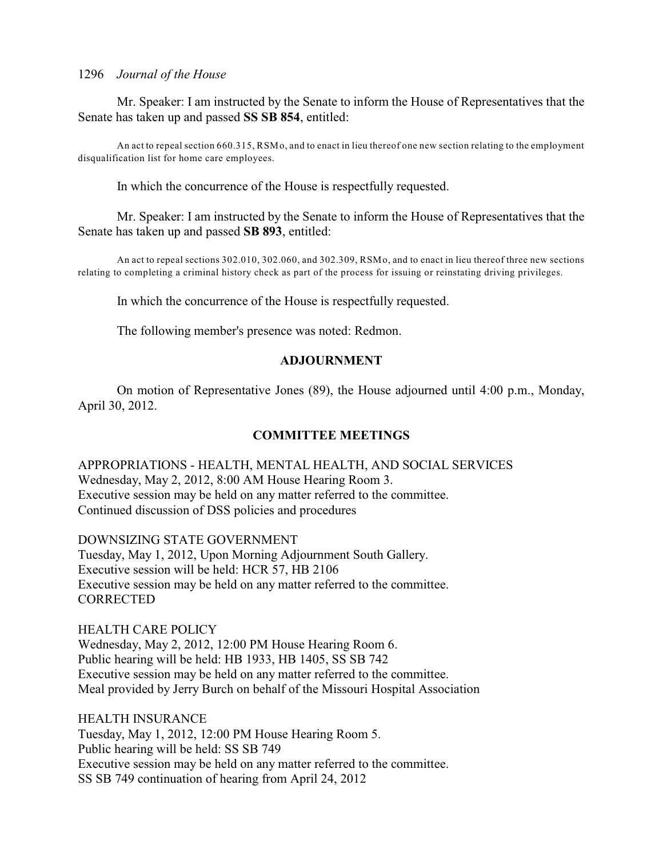Mr. Speaker: I am instructed by the Senate to inform the House of Representatives that the Senate has taken up and passed **SS SB 854**, entitled:

An act to repeal section 660.315, RSMo, and to enact in lieu thereof one new section relating to the employment disqualification list for home care employees.

In which the concurrence of the House is respectfully requested.

Mr. Speaker: I am instructed by the Senate to inform the House of Representatives that the Senate has taken up and passed **SB 893**, entitled:

An act to repeal sections 302.010, 302.060, and 302.309, RSMo, and to enact in lieu thereof three new sections relating to completing a criminal history check as part of the process for issuing or reinstating driving privileges.

In which the concurrence of the House is respectfully requested.

The following member's presence was noted: Redmon.

# **ADJOURNMENT**

On motion of Representative Jones (89), the House adjourned until 4:00 p.m., Monday, April 30, 2012.

# **COMMITTEE MEETINGS**

APPROPRIATIONS - HEALTH, MENTAL HEALTH, AND SOCIAL SERVICES Wednesday, May 2, 2012, 8:00 AM House Hearing Room 3. Executive session may be held on any matter referred to the committee. Continued discussion of DSS policies and procedures

DOWNSIZING STATE GOVERNMENT Tuesday, May 1, 2012, Upon Morning Adjournment South Gallery. Executive session will be held: HCR 57, HB 2106 Executive session may be held on any matter referred to the committee. **CORRECTED** 

HEALTH CARE POLICY Wednesday, May 2, 2012, 12:00 PM House Hearing Room 6. Public hearing will be held: HB 1933, HB 1405, SS SB 742 Executive session may be held on any matter referred to the committee. Meal provided by Jerry Burch on behalf of the Missouri Hospital Association

HEALTH INSURANCE Tuesday, May 1, 2012, 12:00 PM House Hearing Room 5. Public hearing will be held: SS SB 749 Executive session may be held on any matter referred to the committee. SS SB 749 continuation of hearing from April 24, 2012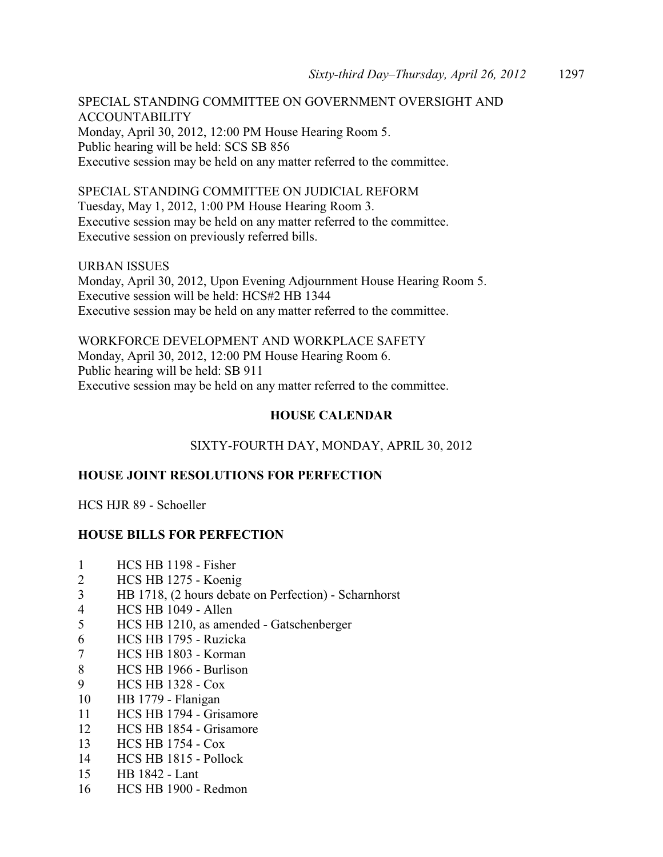SPECIAL STANDING COMMITTEE ON GOVERNMENT OVERSIGHT AND ACCOUNTABILITY Monday, April 30, 2012, 12:00 PM House Hearing Room 5. Public hearing will be held: SCS SB 856 Executive session may be held on any matter referred to the committee.

# SPECIAL STANDING COMMITTEE ON JUDICIAL REFORM

Tuesday, May 1, 2012, 1:00 PM House Hearing Room 3. Executive session may be held on any matter referred to the committee. Executive session on previously referred bills.

URBAN ISSUES Monday, April 30, 2012, Upon Evening Adjournment House Hearing Room 5. Executive session will be held: HCS#2 HB 1344 Executive session may be held on any matter referred to the committee.

WORKFORCE DEVELOPMENT AND WORKPLACE SAFETY Monday, April 30, 2012, 12:00 PM House Hearing Room 6. Public hearing will be held: SB 911 Executive session may be held on any matter referred to the committee.

# **HOUSE CALENDAR**

# SIXTY-FOURTH DAY, MONDAY, APRIL 30, 2012

# **HOUSE JOINT RESOLUTIONS FOR PERFECTION**

HCS HJR 89 - Schoeller

# **HOUSE BILLS FOR PERFECTION**

- 1 HCS HB 1198 Fisher
- 2 HCS HB 1275 Koenig
- 3 HB 1718, (2 hours debate on Perfection) Scharnhorst
- 4 HCS HB 1049 Allen
- 5 HCS HB 1210, as amended Gatschenberger
- 6 HCS HB 1795 Ruzicka
- 7 HCS HB 1803 Korman
- 8 HCS HB 1966 Burlison
- 9 HCS HB 1328 Cox
- 10 HB 1779 Flanigan
- 11 HCS HB 1794 Grisamore
- 12 HCS HB 1854 Grisamore
- 13 HCS HB 1754 Cox
- 14 HCS HB 1815 Pollock
- 15 HB 1842 Lant
- 16 HCS HB 1900 Redmon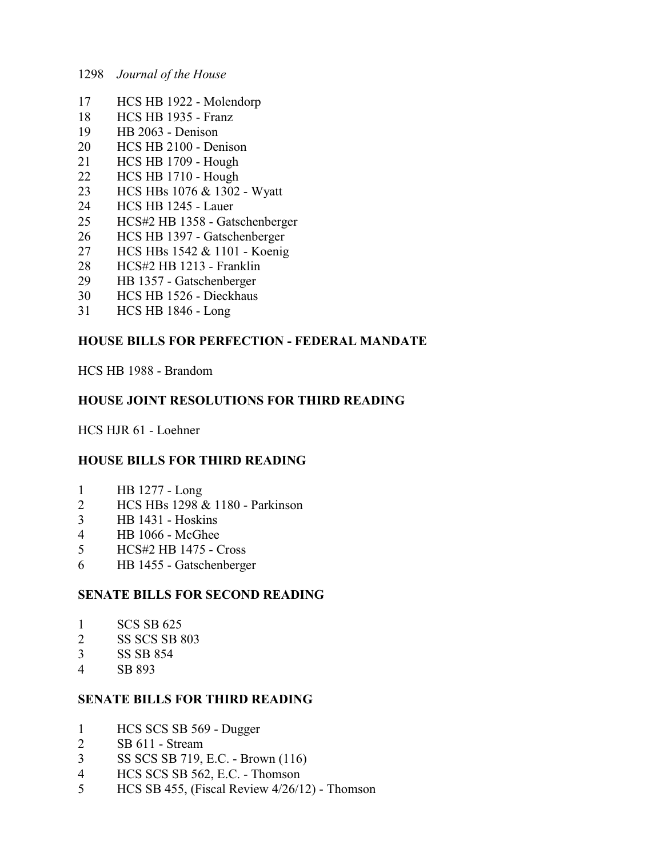- HCS HB 1922 Molendorp
- HCS HB 1935 Franz
- HB 2063 Denison
- HCS HB 2100 Denison
- HCS HB 1709 Hough
- HCS HB 1710 Hough
- HCS HBs 1076 & 1302 Wyatt
- HCS HB 1245 Lauer
- HCS#2 HB 1358 Gatschenberger
- 26 HCS HB 1397 Gatschenberger<br>27 HCS HBs 1542 & 1101 Koenig
- HCS HBs 1542 & 1101 Koenig
- HCS#2 HB 1213 Franklin
- HB 1357 Gatschenberger
- HCS HB 1526 Dieckhaus
- HCS HB 1846 Long

# **HOUSE BILLS FOR PERFECTION - FEDERAL MANDATE**

HCS HB 1988 - Brandom

# **HOUSE JOINT RESOLUTIONS FOR THIRD READING**

HCS HJR 61 - Loehner

# **HOUSE BILLS FOR THIRD READING**

- HB 1277 Long
- HCS HBs 1298 & 1180 Parkinson
- HB 1431 Hoskins
- HB 1066 McGhee
- HCS#2 HB 1475 Cross
- HB 1455 Gatschenberger

# **SENATE BILLS FOR SECOND READING**

- SCS SB 625
- SS SCS SB 803
- SS SB 854
- SB 893

# **SENATE BILLS FOR THIRD READING**

- HCS SCS SB 569 Dugger
- SB 611 Stream
- SS SCS SB 719, E.C. Brown (116)
- HCS SCS SB 562, E.C. Thomson
- HCS SB 455, (Fiscal Review 4/26/12) Thomson